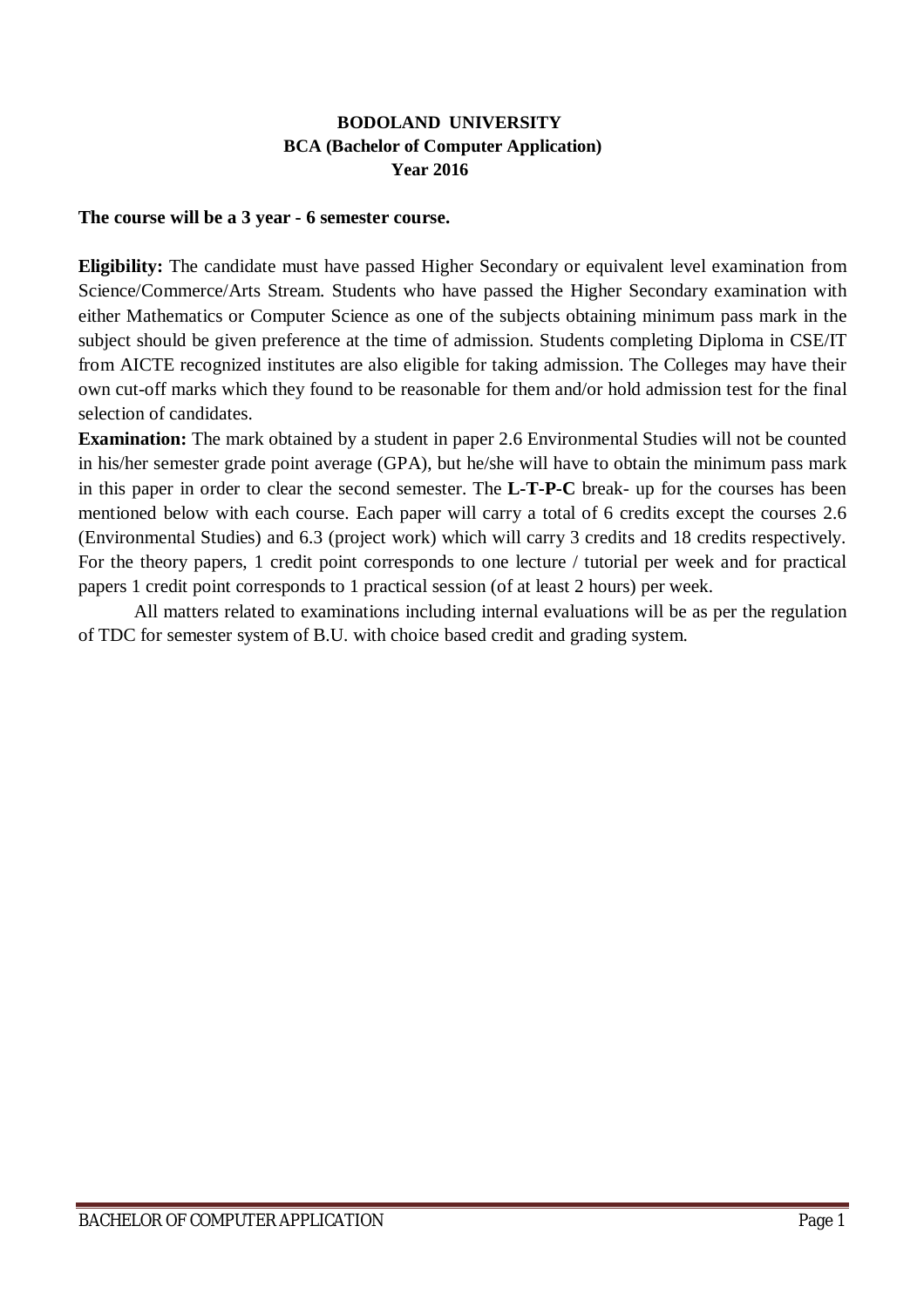## **BODOLAND UNIVERSITY BCA (Bachelor of Computer Application) Year 2016**

#### **The course will be a 3 year - 6 semester course.**

**Eligibility:** The candidate must have passed Higher Secondary or equivalent level examination from Science/Commerce/Arts Stream. Students who have passed the Higher Secondary examination with either Mathematics or Computer Science as one of the subjects obtaining minimum pass mark in the subject should be given preference at the time of admission. Students completing Diploma in CSE/IT from AICTE recognized institutes are also eligible for taking admission. The Colleges may have their own cut-off marks which they found to be reasonable for them and/or hold admission test for the final selection of candidates.

**Examination:** The mark obtained by a student in paper 2.6 Environmental Studies will not be counted in his/her semester grade point average (GPA), but he/she will have to obtain the minimum pass mark in this paper in order to clear the second semester. The **L-T-P-C** break- up for the courses has been mentioned below with each course. Each paper will carry a total of 6 credits except the courses 2.6 (Environmental Studies) and 6.3 (project work) which will carry 3 credits and 18 credits respectively. For the theory papers, 1 credit point corresponds to one lecture / tutorial per week and for practical papers 1 credit point corresponds to 1 practical session (of at least 2 hours) per week.

All matters related to examinations including internal evaluations will be as per the regulation of TDC for semester system of B.U. with choice based credit and grading system.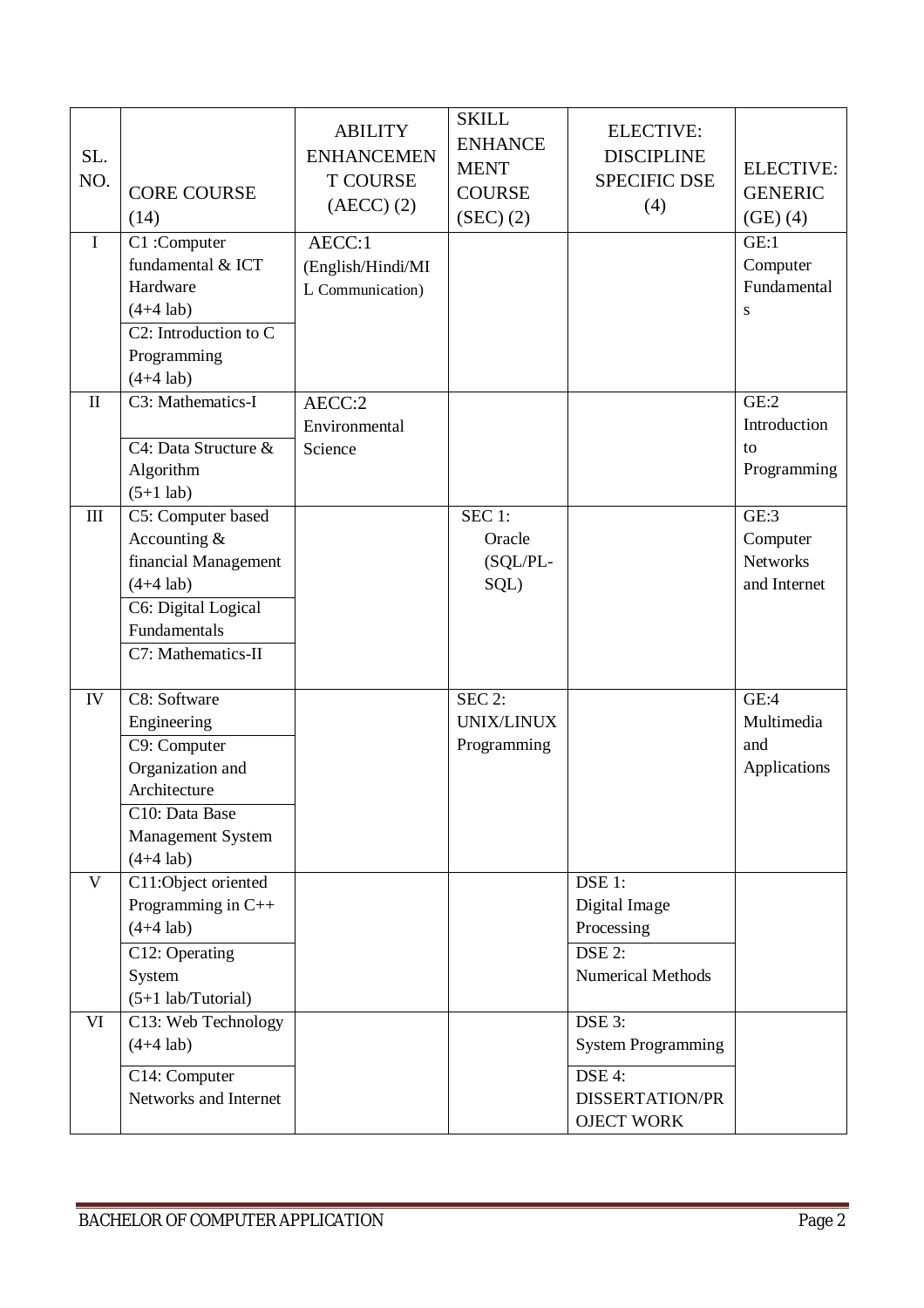| SL.<br>NO.                       | <b>CORE COURSE</b><br>(14)                                                                                                               | <b>ABILITY</b><br><b>ENHANCEMEN</b><br><b>T COURSE</b><br>$(AECC)$ $(2)$ | <b>SKILL</b><br><b>ENHANCE</b><br><b>MENT</b><br><b>COURSE</b><br>(SEC) (2) | <b>ELECTIVE:</b><br><b>DISCIPLINE</b><br><b>SPECIFIC DSE</b><br>(4)                          | <b>ELECTIVE:</b><br><b>GENERIC</b><br>(GE)(4)       |
|----------------------------------|------------------------------------------------------------------------------------------------------------------------------------------|--------------------------------------------------------------------------|-----------------------------------------------------------------------------|----------------------------------------------------------------------------------------------|-----------------------------------------------------|
| $\mathbf I$                      | C1:Computer<br>fundamental & ICT<br>Hardware<br>$(4+4$ lab)<br>$C2$ : Introduction to $C$<br>Programming<br>$(4+4$ lab)                  | AECC:1<br>(English/Hindi/MI<br>L Communication)                          |                                                                             |                                                                                              | GE:1<br>Computer<br>Fundamental<br>S                |
| $\mathbf{I}$                     | C3: Mathematics-I<br>C4: Data Structure &<br>Algorithm<br>$(5+1$ lab)                                                                    | AECC:2<br>Environmental<br>Science                                       |                                                                             |                                                                                              | GE:2<br>Introduction<br>to<br>Programming           |
| $\mathop{\mathrm{III}}\nolimits$ | C5: Computer based<br>Accounting $&$<br>financial Management<br>$(4+4$ lab)<br>C6: Digital Logical<br>Fundamentals<br>C7: Mathematics-II |                                                                          | $SEC1$ :<br>Oracle<br>(SQL/PL-<br>SQL)                                      |                                                                                              | GE:3<br>Computer<br><b>Networks</b><br>and Internet |
| IV                               | C8: Software<br>Engineering<br>C9: Computer<br>Organization and<br>Architecture<br>C10: Data Base<br>Management System<br>$(4+4$ lab)    |                                                                          | $SEC$ 2:<br>UNIX/LINUX<br>Programming                                       |                                                                                              | GE:4<br>Multimedia<br>and<br>Applications           |
| V                                | C11:Object oriented<br>Programming in C++<br>$(4+4$ lab)<br>C12: Operating<br>System<br>$(5+1$ lab/Tutorial)                             |                                                                          |                                                                             | DSE 1:<br>Digital Image<br>Processing<br>$DSE$ 2:<br><b>Numerical Methods</b>                |                                                     |
| VI                               | C13: Web Technology<br>$(4+4$ lab)<br>C14: Computer<br>Networks and Internet                                                             |                                                                          |                                                                             | DSE 3:<br><b>System Programming</b><br>DSE 4:<br><b>DISSERTATION/PR</b><br><b>OJECT WORK</b> |                                                     |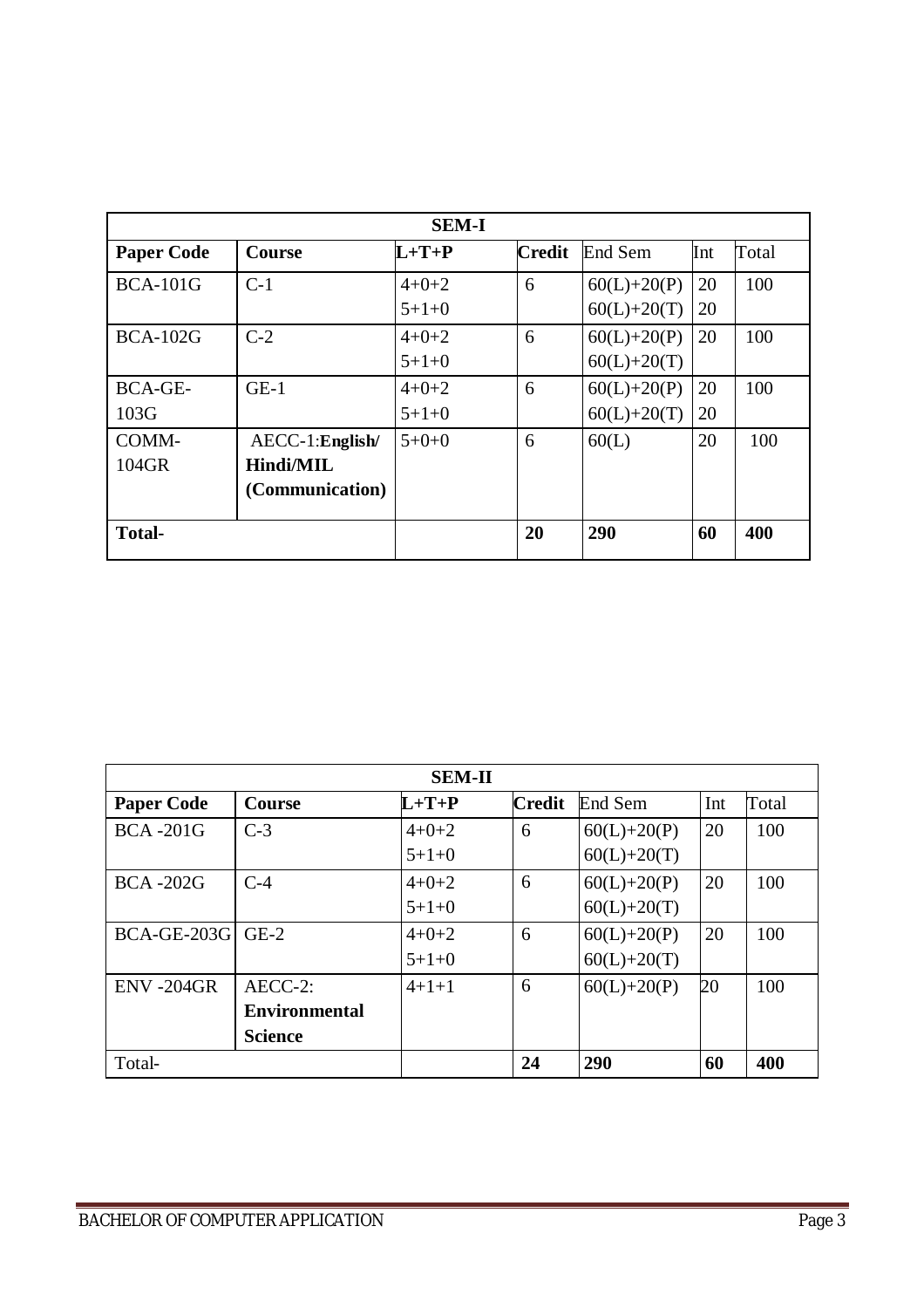| <b>SEM-I</b>      |                   |             |               |                 |     |       |
|-------------------|-------------------|-------------|---------------|-----------------|-----|-------|
| <b>Paper Code</b> | <b>Course</b>     | $L+T+P$     | <b>Credit</b> | End Sem         | Int | Total |
| <b>BCA-101G</b>   | $C-1$             | $4 + 0 + 2$ | 6             | $60(L)+20(P)$   | 20  | 100   |
|                   |                   | $5+1+0$     |               | $60(L) + 20(T)$ | 20  |       |
| <b>BCA-102G</b>   | $C-2$             | $4 + 0 + 2$ | 6             | $60(L) + 20(P)$ | 20  | 100   |
|                   |                   | $5+1+0$     |               | $60(L) + 20(T)$ |     |       |
| <b>BCA-GE-</b>    | $GE-1$            | $4 + 0 + 2$ | 6             | $60(L)+20(P)$   | 20  | 100   |
| 103G              |                   | $5+1+0$     |               | $60(L) + 20(T)$ | 20  |       |
| COMM-             | $AECC-1:English/$ | $5+0+0$     | 6             | 60(L)           | 20  | 100   |
| $104$ GR          | <b>Hindi/MIL</b>  |             |               |                 |     |       |
|                   | (Communication)   |             |               |                 |     |       |
| <b>Total-</b>     |                   |             | 20            | 290             | 60  | 400   |

| <b>SEM-II</b>           |                      |             |               |                 |     |       |
|-------------------------|----------------------|-------------|---------------|-----------------|-----|-------|
| <b>Paper Code</b>       | Course               | $L+T+P$     | <b>Credit</b> | End Sem         | Int | Total |
| <b>BCA-201G</b>         | $C-3$                | $4 + 0 + 2$ | 6             | $60(L)+20(P)$   | 20  | 100   |
|                         |                      | $5+1+0$     |               | $60(L) + 20(T)$ |     |       |
| <b>BCA-202G</b>         | $C-4$                | $4 + 0 + 2$ | 6             | $60(L) + 20(P)$ | 20  | 100   |
|                         |                      | $5+1+0$     |               | $60(L) + 20(T)$ |     |       |
| <b>BCA-GE-203G</b> GE-2 |                      | $4 + 0 + 2$ | 6             | $60(L) + 20(P)$ | 20  | 100   |
|                         |                      | $5+1+0$     |               | $60(L) + 20(T)$ |     |       |
| <b>ENV-204GR</b>        | AECC-2:              | $4+1+1$     | 6             | $60(L) + 20(P)$ | 20  | 100   |
|                         | <b>Environmental</b> |             |               |                 |     |       |
|                         | <b>Science</b>       |             |               |                 |     |       |
| Total-                  |                      |             | 24            | 290             | 60  | 400   |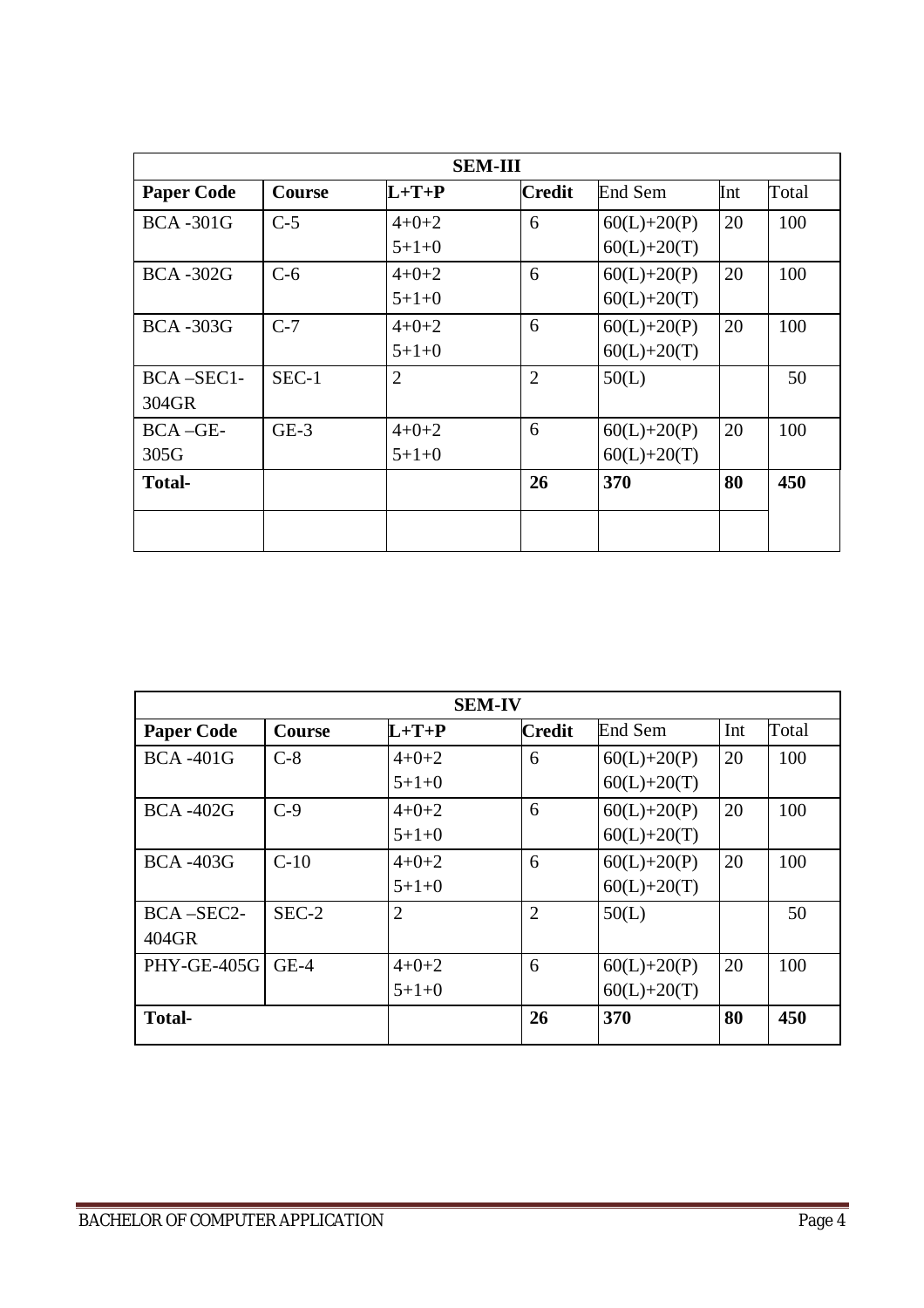| <b>SEM-III</b>    |               |                |                |                 |     |       |
|-------------------|---------------|----------------|----------------|-----------------|-----|-------|
| <b>Paper Code</b> | <b>Course</b> | $L+T+P$        | <b>Credit</b>  | End Sem         | Int | Total |
| <b>BCA-301G</b>   | $C-5$         | $4 + 0 + 2$    | 6              | $60(L)+20(P)$   | 20  | 100   |
|                   |               | $5+1+0$        |                | $60(L) + 20(T)$ |     |       |
| <b>BCA-302G</b>   | $C-6$         | $4 + 0 + 2$    | 6              | $60(L)+20(P)$   | 20  | 100   |
|                   |               | $5+1+0$        |                | $60(L) + 20(T)$ |     |       |
| <b>BCA-303G</b>   | $C-7$         | $4 + 0 + 2$    | 6              | $60(L)+20(P)$   | 20  | 100   |
|                   |               | $5+1+0$        |                | $60(L) + 20(T)$ |     |       |
| $BCA - SEC1$ -    | $SEC-1$       | $\overline{2}$ | $\overline{2}$ | 50(L)           |     | 50    |
| 304GR             |               |                |                |                 |     |       |
| BCA-GE-           | $GE-3$        | $4 + 0 + 2$    | 6              | $60(L)+20(P)$   | 20  | 100   |
| 305G              |               | $5+1+0$        |                | $60(L) + 20(T)$ |     |       |
| <b>Total-</b>     |               |                | 26             | 370             | 80  | 450   |
|                   |               |                |                |                 |     |       |
|                   |               |                |                |                 |     |       |

| <b>SEM-IV</b>      |         |                |                |                 |     |       |
|--------------------|---------|----------------|----------------|-----------------|-----|-------|
| <b>Paper Code</b>  | Course  | $L+T+P$        | <b>Credit</b>  | End Sem         | Int | Total |
| <b>BCA-401G</b>    | $C-8$   | $4 + 0 + 2$    | 6              | $60(L)+20(P)$   | 20  | 100   |
|                    |         | $5+1+0$        |                | $60(L) + 20(T)$ |     |       |
| <b>BCA-402G</b>    | $C-9$   | $4 + 0 + 2$    | 6              | $60(L)+20(P)$   | 20  | 100   |
|                    |         | $5+1+0$        |                | $60(L) + 20(T)$ |     |       |
| <b>BCA-403G</b>    | $C-10$  | $4 + 0 + 2$    | 6              | $60(L)+20(P)$   | 20  | 100   |
|                    |         | $5+1+0$        |                | $60(L) + 20(T)$ |     |       |
| $BCA - SEC2-$      | $SEC-2$ | $\overline{2}$ | $\overline{2}$ | 50(L)           |     | 50    |
| 404GR              |         |                |                |                 |     |       |
| <b>PHY-GE-405G</b> | $GE-4$  | $4 + 0 + 2$    | 6              | $60(L)+20(P)$   | 20  | 100   |
|                    |         | $5+1+0$        |                | $60(L) + 20(T)$ |     |       |
| <b>Total-</b>      |         |                | 26             | 370             | 80  | 450   |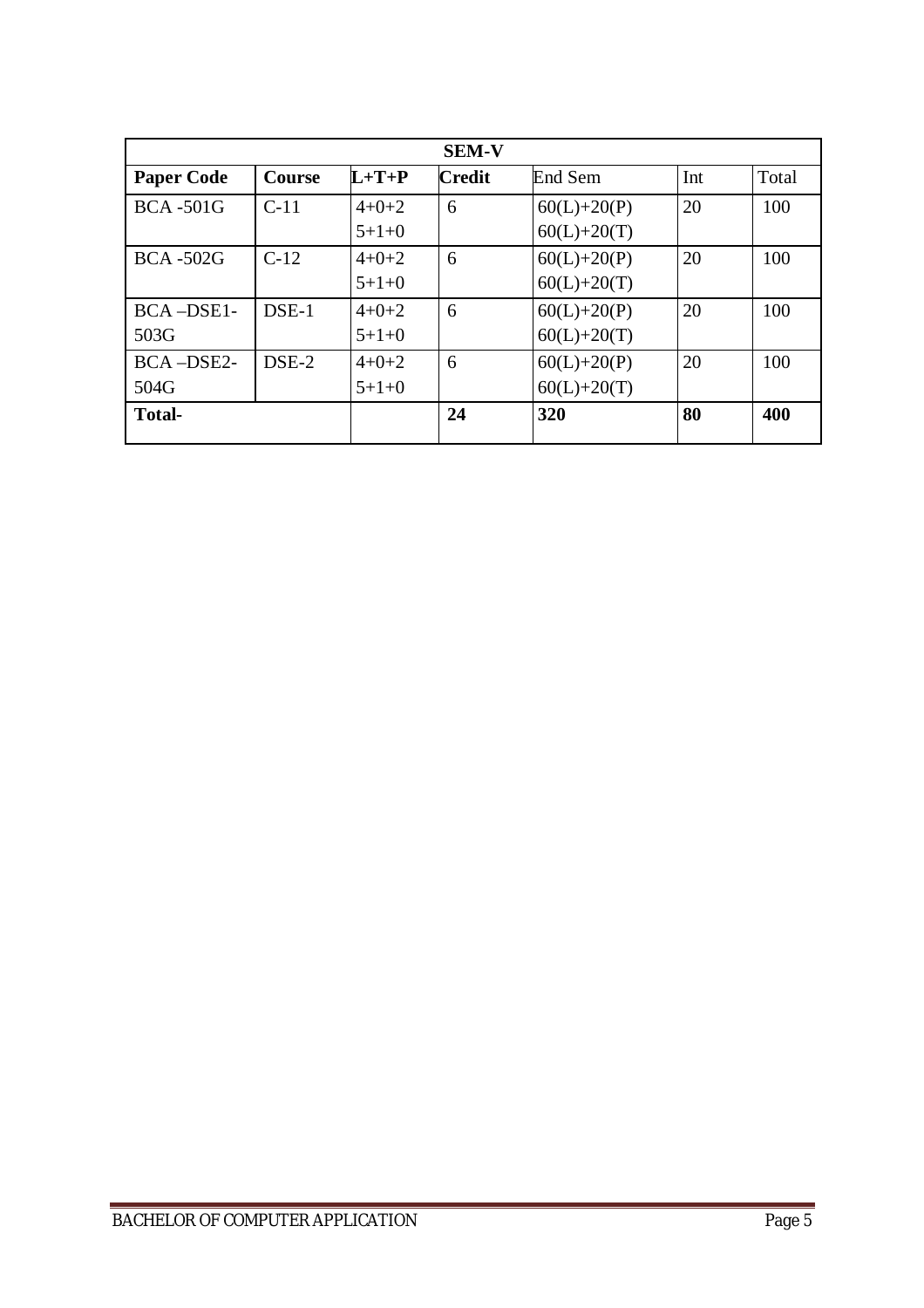|                   |               |             | <b>SEM-V</b>  |                 |     |       |
|-------------------|---------------|-------------|---------------|-----------------|-----|-------|
| <b>Paper Code</b> | <b>Course</b> | $L+T+P$     | <b>Credit</b> | End Sem         | Int | Total |
| <b>BCA-501G</b>   | $C-11$        | $4+0+2$     | 6             | $60(L)+20(P)$   | 20  | 100   |
|                   |               | $5+1+0$     |               | $60(L) + 20(T)$ |     |       |
| <b>BCA-502G</b>   | $C-12$        | $4 + 0 + 2$ | 6             | $60(L)+20(P)$   | 20  | 100   |
|                   |               | $5+1+0$     |               | $60(L) + 20(T)$ |     |       |
| BCA-DSE1-         | DSE-1         | $4 + 0 + 2$ | 6             | $60(L)+20(P)$   | 20  | 100   |
| 503G              |               | $5+1+0$     |               | $60(L) + 20(T)$ |     |       |
| BCA-DSE2-         | $DSE-2$       | $4+0+2$     | 6             | $60(L)+20(P)$   | 20  | 100   |
| 504G              |               | $5+1+0$     |               | $60(L) + 20(T)$ |     |       |
| <b>Total-</b>     |               |             | 24            | 320             | 80  | 400   |
|                   |               |             |               |                 |     |       |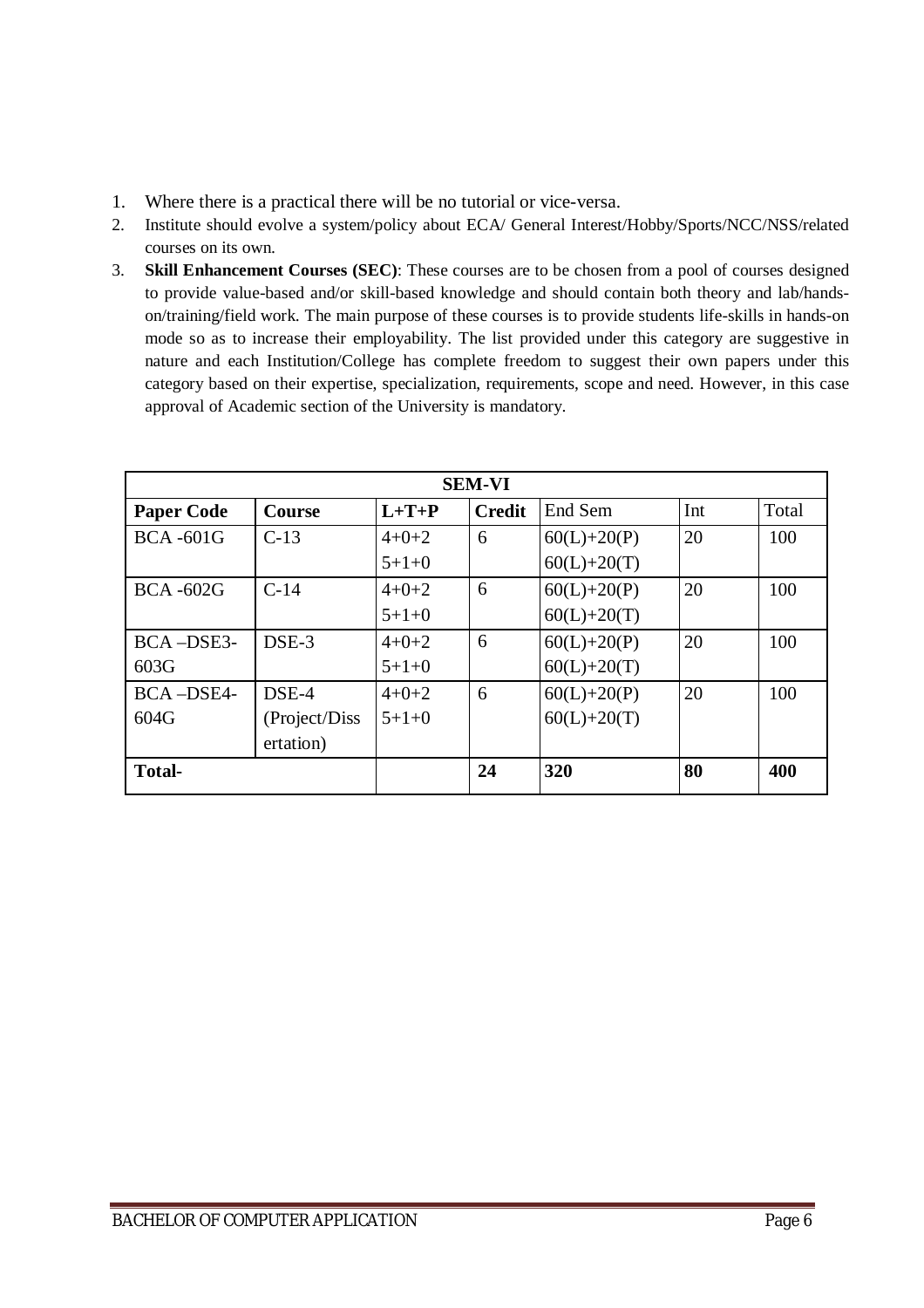- 1. Where there is a practical there will be no tutorial or vice-versa.
- 2. Institute should evolve a system/policy about ECA/ General Interest/Hobby/Sports/NCC/NSS/related courses on its own.
- 3. **Skill Enhancement Courses (SEC)**: These courses are to be chosen from a pool of courses designed to provide value-based and/or skill-based knowledge and should contain both theory and lab/handson/training/field work. The main purpose of these courses is to provide students life-skills in hands-on mode so as to increase their employability. The list provided under this category are suggestive in nature and each Institution/College has complete freedom to suggest their own papers under this category based on their expertise, specialization, requirements, scope and need. However, in this case approval of Academic section of the University is mandatory.

| <b>SEM-VI</b>     |               |             |               |                 |     |       |
|-------------------|---------------|-------------|---------------|-----------------|-----|-------|
| <b>Paper Code</b> | <b>Course</b> | $L+T+P$     | <b>Credit</b> | End Sem         | Int | Total |
| <b>BCA-601G</b>   | $C-13$        | $4 + 0 + 2$ | 6             | $60(L)+20(P)$   | 20  | 100   |
|                   |               | $5+1+0$     |               | $60(L) + 20(T)$ |     |       |
| <b>BCA-602G</b>   | $C-14$        | $4 + 0 + 2$ | 6             | $60(L)+20(P)$   | 20  | 100   |
|                   |               | $5+1+0$     |               | $60(L) + 20(T)$ |     |       |
| BCA-DSE3-         | DSE-3         | $4 + 0 + 2$ | 6             | $60(L)+20(P)$   | 20  | 100   |
| 603G              |               | $5+1+0$     |               | $60(L) + 20(T)$ |     |       |
| BCA-DSE4-         | DSE-4         | $4 + 0 + 2$ | 6             | $60(L)+20(P)$   | 20  | 100   |
| 604G              | (Project/Diss | $5+1+0$     |               | $60(L) + 20(T)$ |     |       |
|                   | ertation)     |             |               |                 |     |       |
| <b>Total-</b>     |               |             | 24            | 320             | 80  | 400   |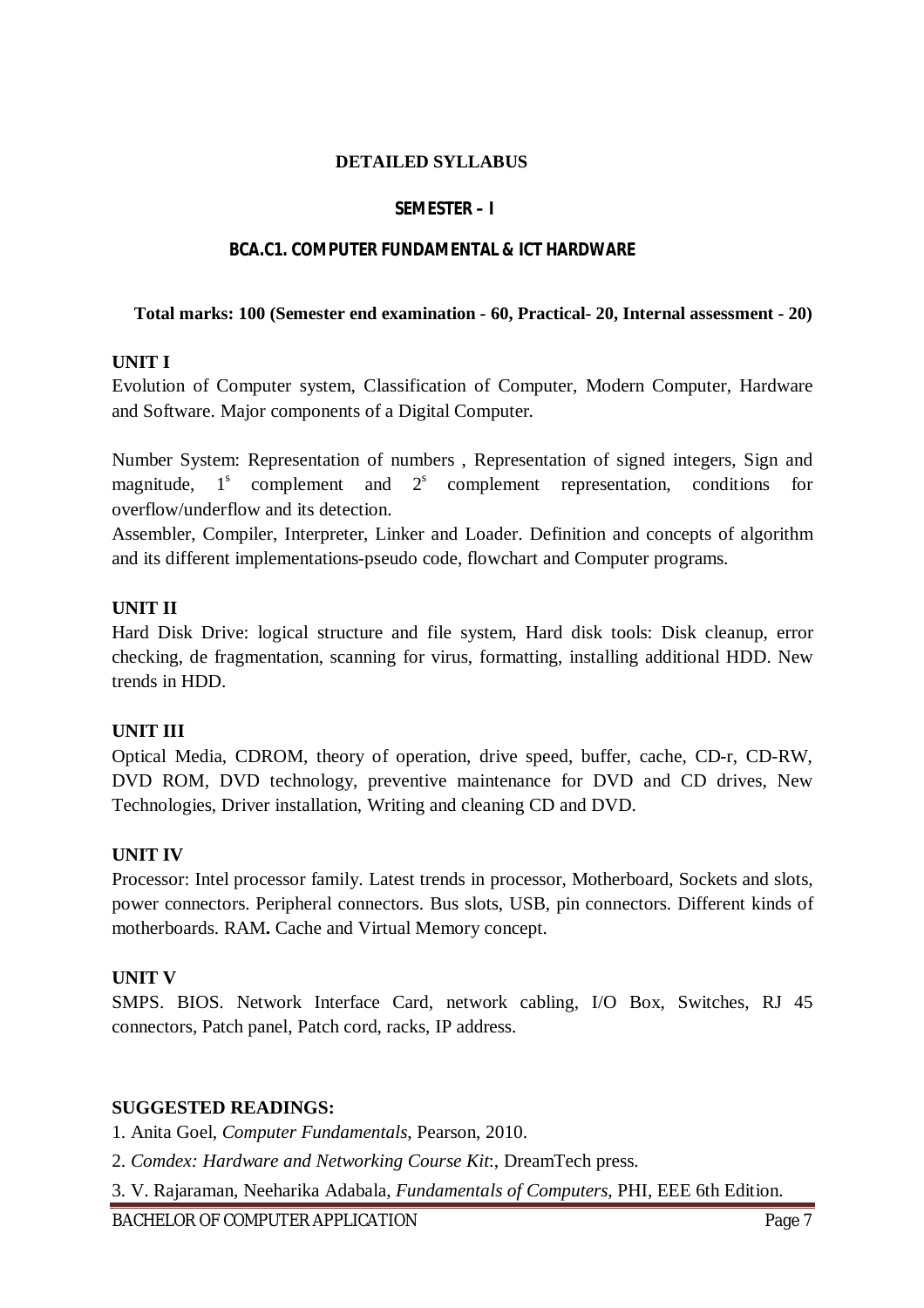#### **DETAILED SYLLABUS**

#### **SEMESTER – I**

#### **BCA.C1. COMPUTER FUNDAMENTAL & ICT HARDWARE**

#### **Total marks: 100 (Semester end examination - 60, Practical- 20, Internal assessment - 20)**

#### **UNIT I**

Evolution of Computer system, Classification of Computer, Modern Computer, Hardware and Software. Major components of a Digital Computer.

Number System: Representation of numbers , Representation of signed integers, Sign and magnitude,  $1<sup>s</sup>$  complement and  $2<sup>s</sup>$  complement representation, conditions for overflow/underflow and its detection.

Assembler, Compiler, Interpreter, Linker and Loader. Definition and concepts of algorithm and its different implementations-pseudo code, flowchart and Computer programs.

#### **UNIT II**

Hard Disk Drive: logical structure and file system, Hard disk tools: Disk cleanup, error checking, de fragmentation, scanning for virus, formatting, installing additional HDD. New trends in HDD.

### **UNIT III**

Optical Media, CDROM, theory of operation, drive speed, buffer, cache, CD-r, CD-RW, DVD ROM, DVD technology, preventive maintenance for DVD and CD drives, New Technologies, Driver installation, Writing and cleaning CD and DVD.

### **UNIT IV**

Processor: Intel processor family. Latest trends in processor, Motherboard, Sockets and slots, power connectors. Peripheral connectors. Bus slots, USB, pin connectors. Different kinds of motherboards. RAM**.** Cache and Virtual Memory concept.

### **UNIT V**

SMPS. BIOS. Network Interface Card, network cabling, I/O Box, Switches, RJ 45 connectors, Patch panel, Patch cord, racks, IP address.

#### **SUGGESTED READINGS:**

1. Anita Goel, *Computer Fundamentals*, Pearson, 2010.

2. *Comdex: Hardware and Networking Course Kit*:, DreamTech press.

3. V. Rajaraman, Neeharika Adabala, *Fundamentals of Computers*, PHI, EEE 6th Edition.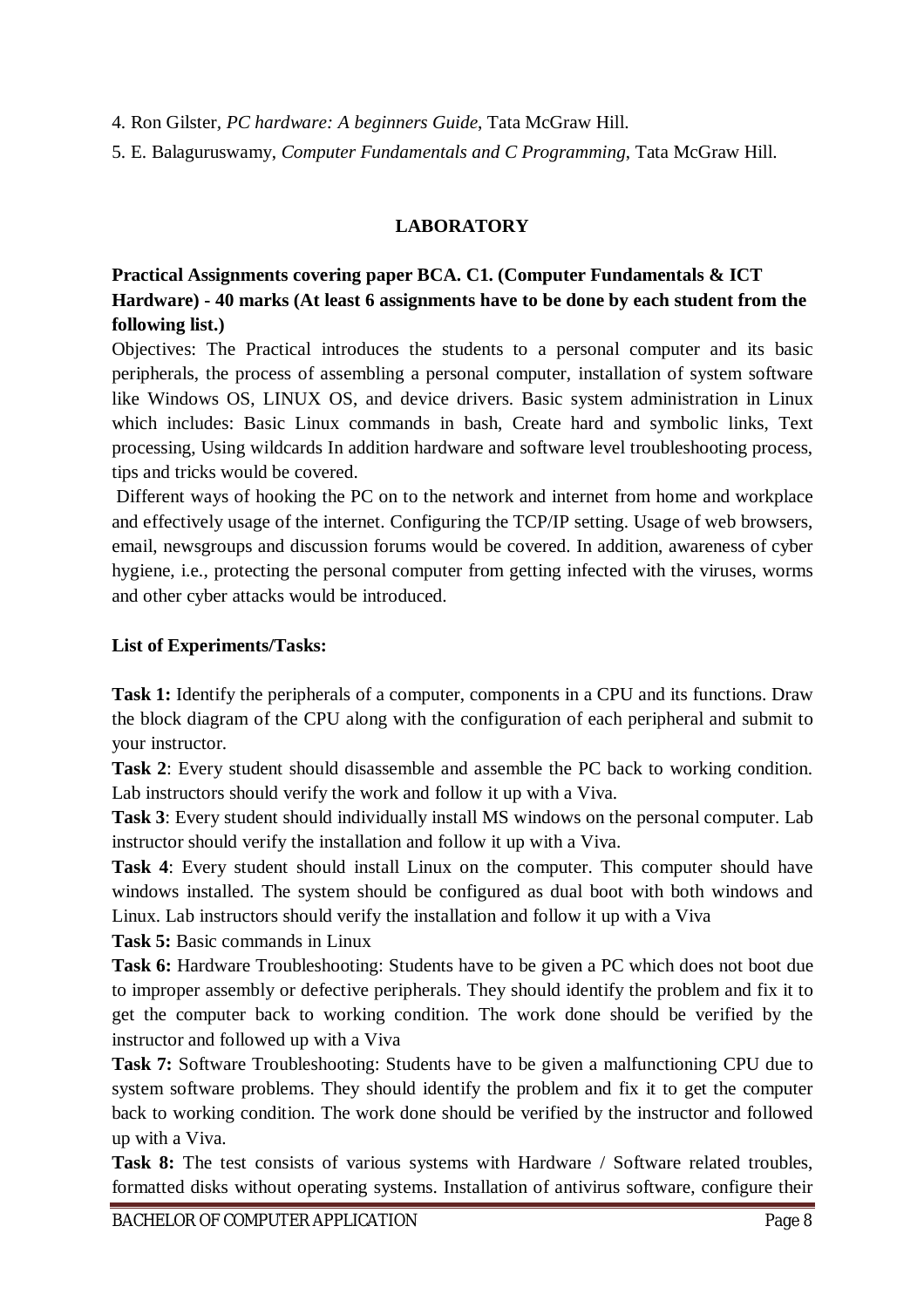4. Ron Gilster*, PC hardware: A beginners Guide*, Tata McGraw Hill.

5. E. Balaguruswamy, *Computer Fundamentals and C Programming*, Tata McGraw Hill.

## **LABORATORY**

## **Practical Assignments covering paper BCA. C1. (Computer Fundamentals & ICT Hardware) - 40 marks (At least 6 assignments have to be done by each student from the following list.)**

Objectives: The Practical introduces the students to a personal computer and its basic peripherals, the process of assembling a personal computer, installation of system software like Windows OS, LINUX OS, and device drivers. Basic system administration in Linux which includes: Basic Linux commands in bash, Create hard and symbolic links, Text processing, Using wildcards In addition hardware and software level troubleshooting process, tips and tricks would be covered.

Different ways of hooking the PC on to the network and internet from home and workplace and effectively usage of the internet. Configuring the TCP/IP setting. Usage of web browsers, email, newsgroups and discussion forums would be covered. In addition, awareness of cyber hygiene, i.e., protecting the personal computer from getting infected with the viruses, worms and other cyber attacks would be introduced.

## **List of Experiments/Tasks:**

**Task 1:** Identify the peripherals of a computer, components in a CPU and its functions. Draw the block diagram of the CPU along with the configuration of each peripheral and submit to your instructor.

**Task 2**: Every student should disassemble and assemble the PC back to working condition. Lab instructors should verify the work and follow it up with a Viva.

**Task 3**: Every student should individually install MS windows on the personal computer. Lab instructor should verify the installation and follow it up with a Viva.

**Task 4**: Every student should install Linux on the computer. This computer should have windows installed. The system should be configured as dual boot with both windows and Linux. Lab instructors should verify the installation and follow it up with a Viva

**Task 5:** Basic commands in Linux

**Task 6:** Hardware Troubleshooting: Students have to be given a PC which does not boot due to improper assembly or defective peripherals. They should identify the problem and fix it to get the computer back to working condition. The work done should be verified by the instructor and followed up with a Viva

**Task 7:** Software Troubleshooting: Students have to be given a malfunctioning CPU due to system software problems. They should identify the problem and fix it to get the computer back to working condition. The work done should be verified by the instructor and followed up with a Viva.

Task 8: The test consists of various systems with Hardware / Software related troubles, formatted disks without operating systems. Installation of antivirus software, configure their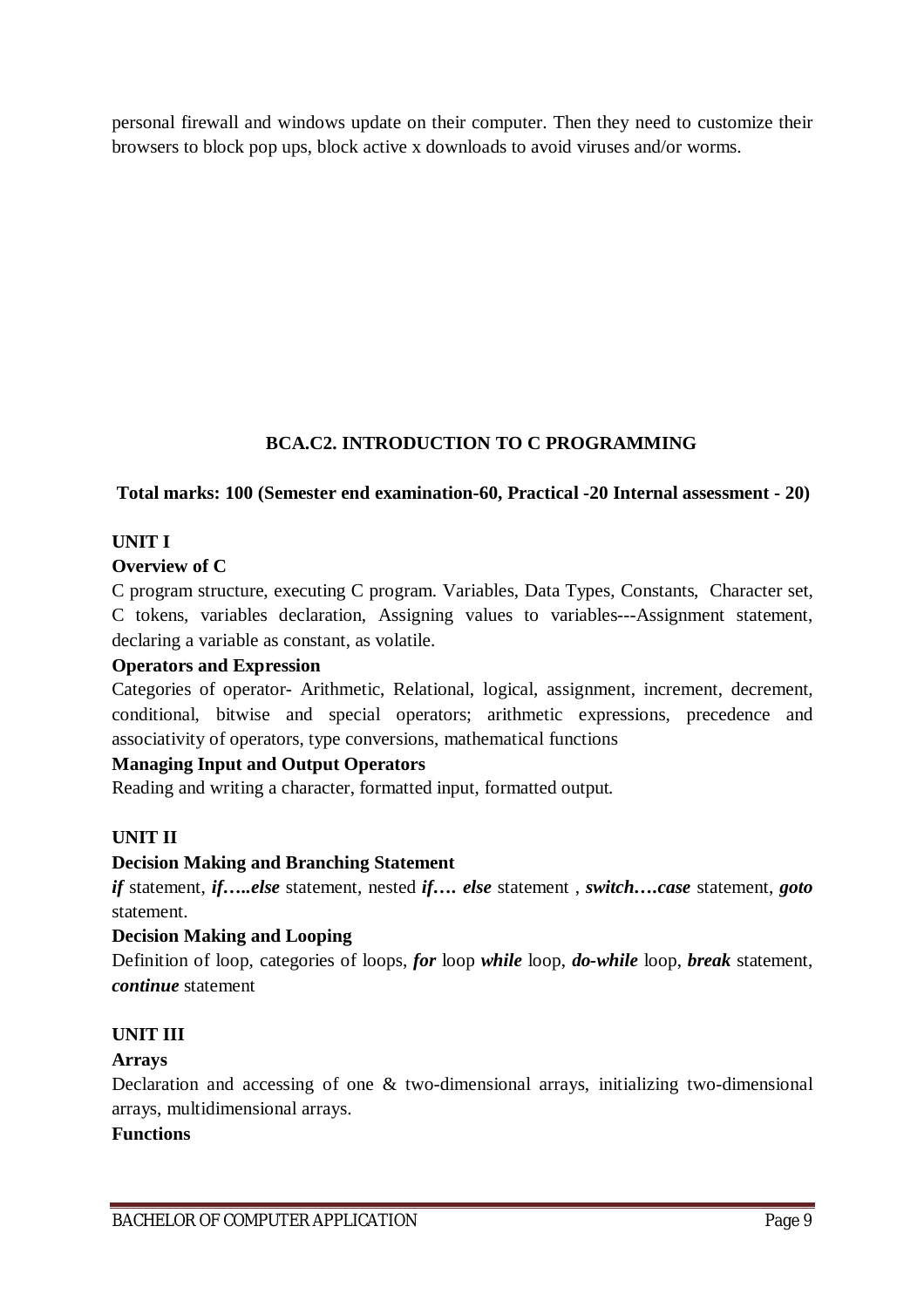personal firewall and windows update on their computer. Then they need to customize their browsers to block pop ups, block active x downloads to avoid viruses and/or worms.

## **BCA.C2. INTRODUCTION TO C PROGRAMMING**

## **Total marks: 100 (Semester end examination-60, Practical -20 Internal assessment - 20)**

## **UNIT I**

## **Overview of C**

C program structure, executing C program. Variables, Data Types, Constants, Character set, C tokens, variables declaration, Assigning values to variables---Assignment statement, declaring a variable as constant, as volatile.

### **Operators and Expression**

Categories of operator- Arithmetic, Relational, logical, assignment, increment, decrement*,*  conditional, bitwise and special operators; arithmetic expressions, precedence and associativity of operators, type conversions, mathematical functions

## **Managing Input and Output Operators**

Reading and writing a character, formatted input, formatted output.

## **UNIT II**

### **Decision Making and Branching Statement**

*if* statement, *if…..else* statement, nested *if…. else* statement , *switch….case* statement, *goto*  statement.

### **Decision Making and Looping**

Definition of loop, categories of loops, *for* loop *while* loop, *do-while* loop, *break* statement, *continue* statement

## **UNIT III**

### **Arrays**

Declaration and accessing of one & two-dimensional arrays, initializing two-dimensional arrays, multidimensional arrays.

### **Functions**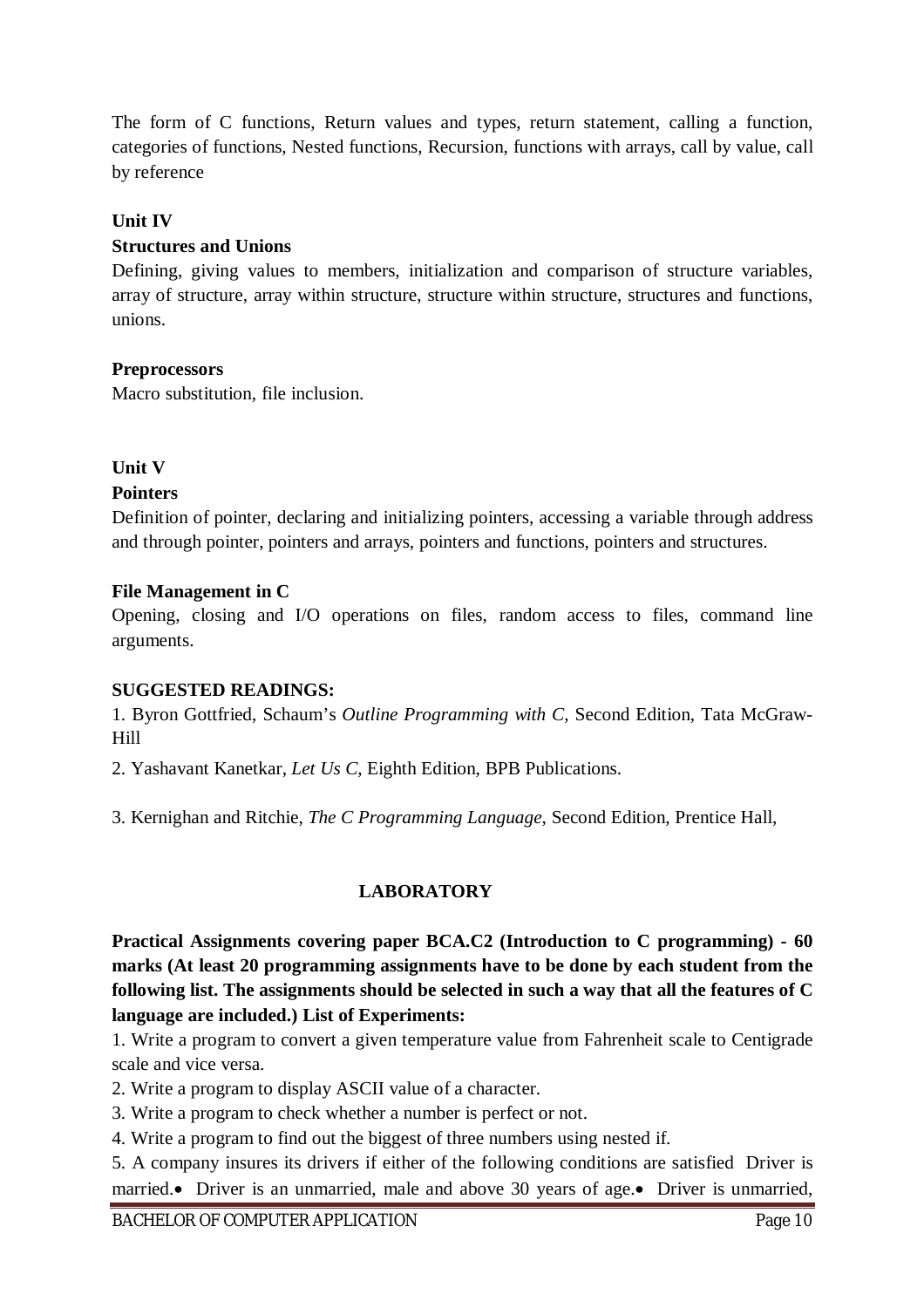The form of C functions, Return values and types, return statement, calling a function, categories of functions, Nested functions, Recursion, functions with arrays, call by value, call by reference

### **Unit IV**

### **Structures and Unions**

Defining, giving values to members, initialization and comparison of structure variables, array of structure, array within structure, structure within structure, structures and functions, unions.

## **Preprocessors**

Macro substitution, file inclusion.

## **Unit V**

## **Pointers**

Definition of pointer, declaring and initializing pointers, accessing a variable through address and through pointer, pointers and arrays, pointers and functions, pointers and structures.

### **File Management in C**

Opening, closing and I/O operations on files, random access to files, command line arguments.

### **SUGGESTED READINGS:**

1. Byron Gottfried, Schaum's *Outline Programming with C*, Second Edition, Tata McGraw-Hill

2. Yashavant Kanetkar, *Let Us C*, Eighth Edition, BPB Publications.

3. Kernighan and Ritchie, *The C Programming Language*, Second Edition, Prentice Hall,

## **LABORATORY**

**Practical Assignments covering paper BCA.C2 (Introduction to C programming) - 60 marks (At least 20 programming assignments have to be done by each student from the following list. The assignments should be selected in such a way that all the features of C language are included.) List of Experiments:**

1. Write a program to convert a given temperature value from Fahrenheit scale to Centigrade scale and vice versa.

2. Write a program to display ASCII value of a character.

3. Write a program to check whether a number is perfect or not.

4. Write a program to find out the biggest of three numbers using nested if.

5. A company insures its drivers if either of the following conditions are satisfied Driver is married. Driver is an unmarried, male and above 30 years of age. Driver is unmarried,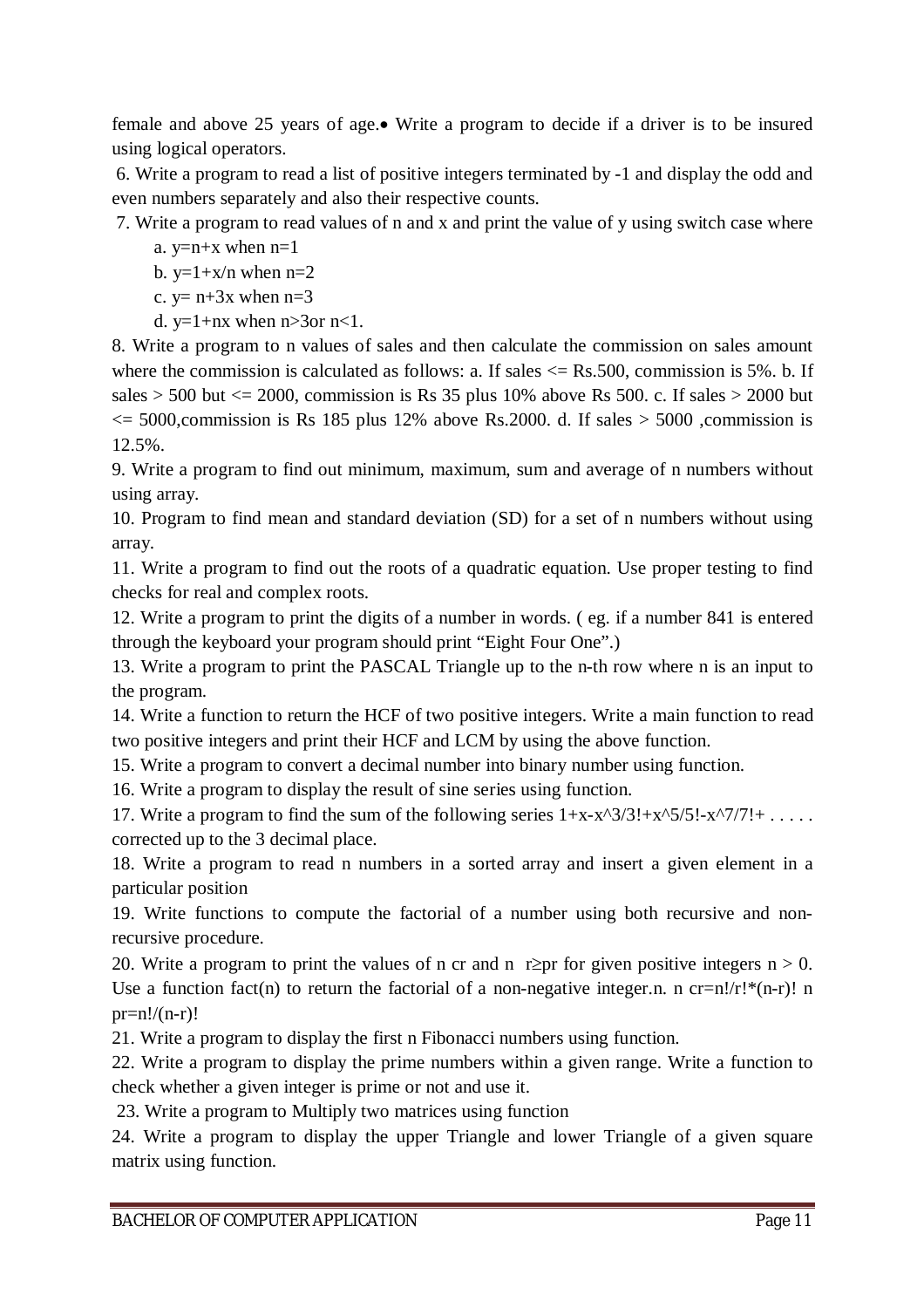female and above 25 years of age. Write a program to decide if a driver is to be insured using logical operators.

6. Write a program to read a list of positive integers terminated by -1 and display the odd and even numbers separately and also their respective counts.

7. Write a program to read values of n and x and print the value of y using switch case where

a.  $y=n+x$  when  $n=1$ 

b.  $y=1+x/n$  when  $n=2$ 

c.  $y= n+3x$  when  $n=3$ 

d.  $y=1+nx$  when  $n>3$ or  $n<1$ .

8. Write a program to n values of sales and then calculate the commission on sales amount where the commission is calculated as follows: a. If sales  $\leq$  Rs.500, commission is 5%. b. If sales  $> 500$  but  $\leq 2000$ , commission is Rs 35 plus 10% above Rs 500. c. If sales  $> 2000$  but  $\epsilon$  = 5000, commission is Rs 185 plus 12% above Rs. 2000. d. If sales > 5000, commission is 12.5%.

9. Write a program to find out minimum, maximum, sum and average of n numbers without using array.

10. Program to find mean and standard deviation (SD) for a set of n numbers without using array.

11. Write a program to find out the roots of a quadratic equation. Use proper testing to find checks for real and complex roots.

12. Write a program to print the digits of a number in words. ( eg. if a number 841 is entered through the keyboard your program should print "Eight Four One".)

13. Write a program to print the PASCAL Triangle up to the n-th row where n is an input to the program.

14. Write a function to return the HCF of two positive integers. Write a main function to read two positive integers and print their HCF and LCM by using the above function.

15. Write a program to convert a decimal number into binary number using function.

16. Write a program to display the result of sine series using function.

17. Write a program to find the sum of the following series  $1+x-x^2/3!+x^2/5!-x^2/7!+ \ldots$ corrected up to the 3 decimal place.

18. Write a program to read n numbers in a sorted array and insert a given element in a particular position

19. Write functions to compute the factorial of a number using both recursive and nonrecursive procedure.

20. Write a program to print the values of n cr and n r $\geq$ pr for given positive integers n > 0. Use a function fact(n) to return the factorial of a non-negative integer.n. n cr=n!/r!\*(n-r)! n  $pr=n!/(n-r)!$ 

21. Write a program to display the first n Fibonacci numbers using function.

22. Write a program to display the prime numbers within a given range. Write a function to check whether a given integer is prime or not and use it.

23. Write a program to Multiply two matrices using function

24. Write a program to display the upper Triangle and lower Triangle of a given square matrix using function.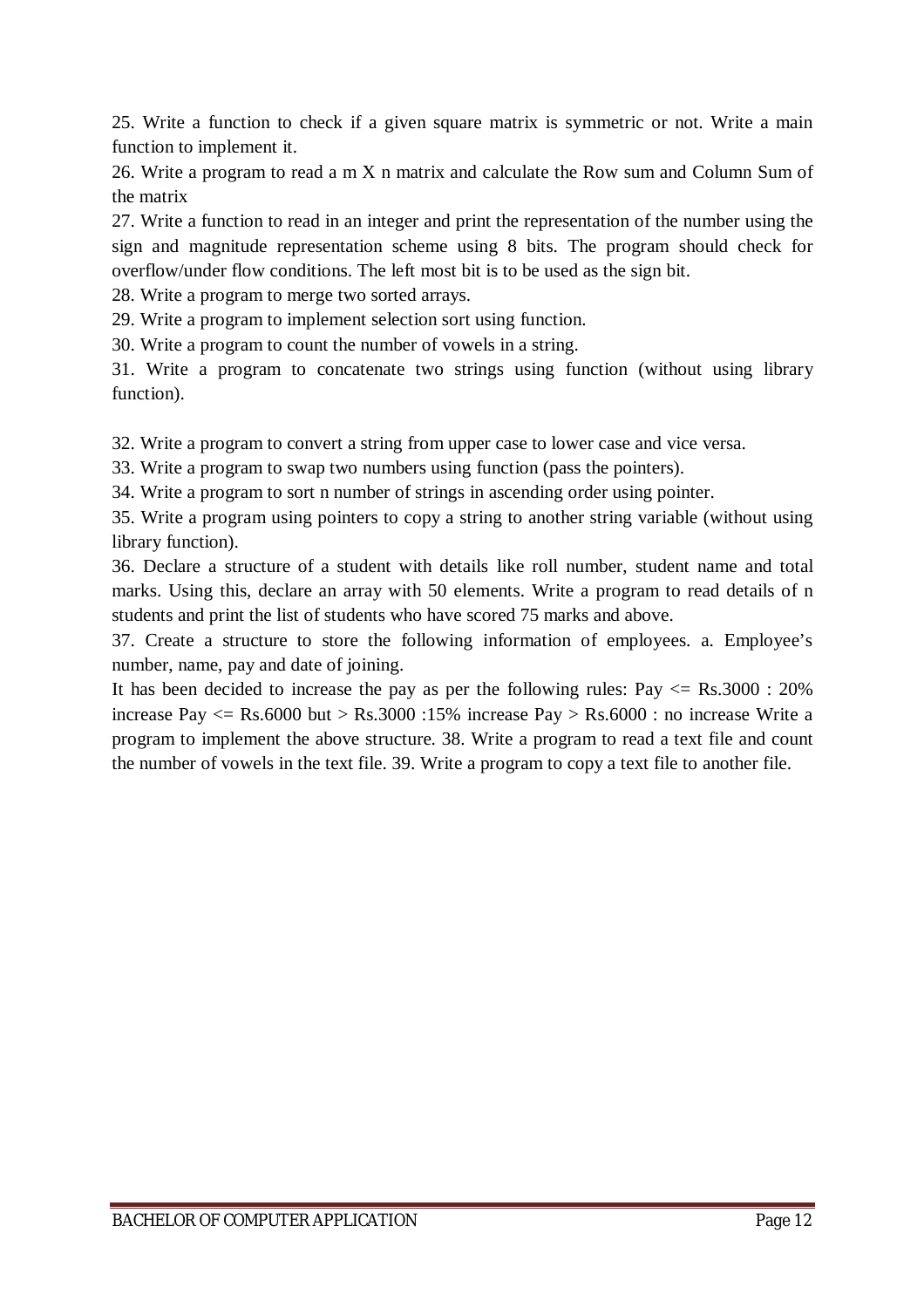25. Write a function to check if a given square matrix is symmetric or not. Write a main function to implement it.

26. Write a program to read a m X n matrix and calculate the Row sum and Column Sum of the matrix

27. Write a function to read in an integer and print the representation of the number using the sign and magnitude representation scheme using 8 bits. The program should check for overflow/under flow conditions. The left most bit is to be used as the sign bit.

28. Write a program to merge two sorted arrays.

29. Write a program to implement selection sort using function.

30. Write a program to count the number of vowels in a string.

31. Write a program to concatenate two strings using function (without using library function).

32. Write a program to convert a string from upper case to lower case and vice versa.

33. Write a program to swap two numbers using function (pass the pointers).

34. Write a program to sort n number of strings in ascending order using pointer.

35. Write a program using pointers to copy a string to another string variable (without using library function).

36. Declare a structure of a student with details like roll number, student name and total marks. Using this, declare an array with 50 elements. Write a program to read details of n students and print the list of students who have scored 75 marks and above.

37. Create a structure to store the following information of employees. a. Employee's number, name, pay and date of joining.

It has been decided to increase the pay as per the following rules:  $Pay \leq Rs.3000 : 20\%$ increase Pay  $\langle$  = Rs.6000 but > Rs.3000 :15% increase Pay > Rs.6000 : no increase Write a program to implement the above structure. 38. Write a program to read a text file and count the number of vowels in the text file. 39. Write a program to copy a text file to another file.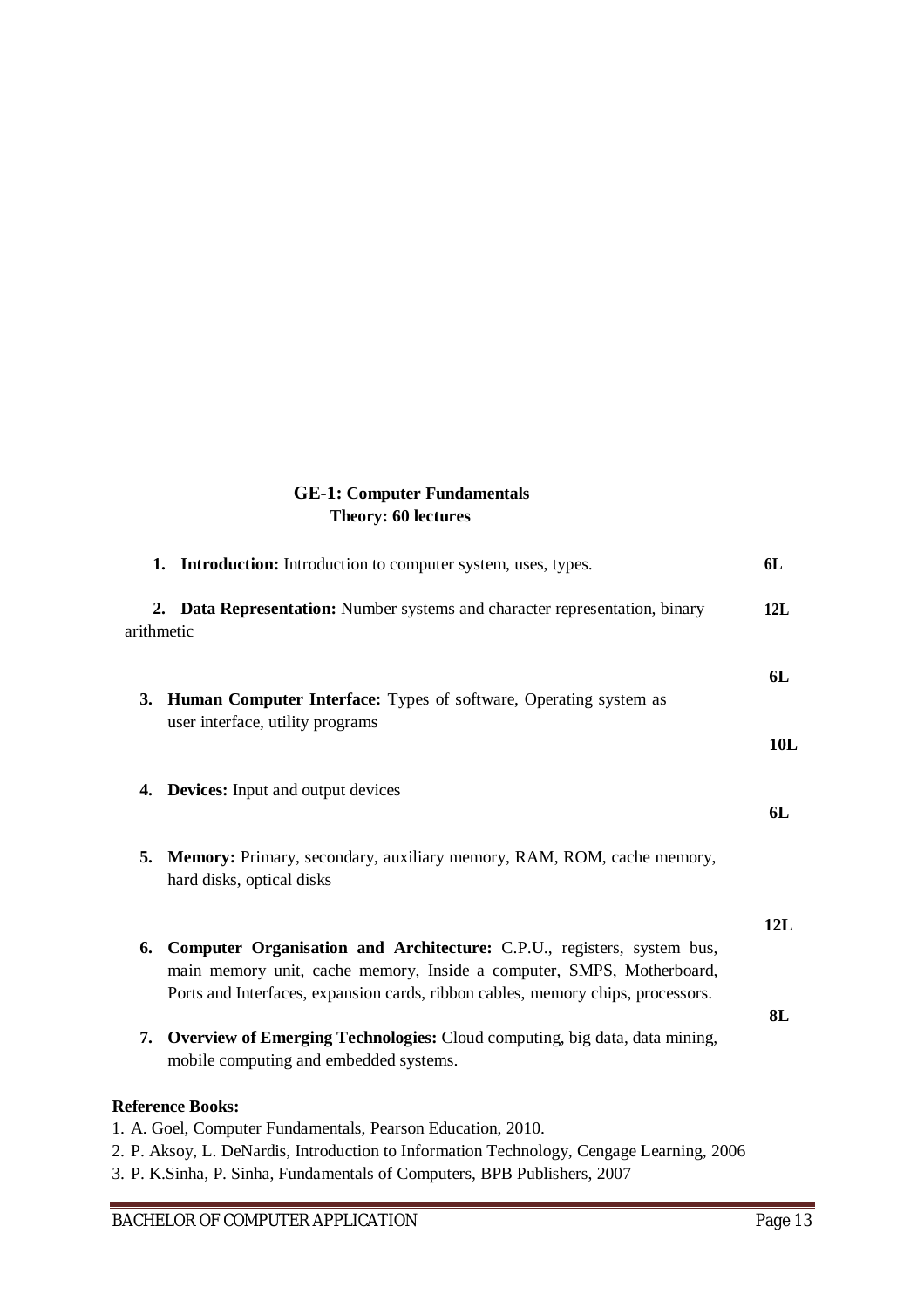## **GE-1: Computer Fundamentals Theory: 60 lectures**

| 1. Introduction: Introduction to computer system, uses, types.                                                                                                                                                                           | 6L  |
|------------------------------------------------------------------------------------------------------------------------------------------------------------------------------------------------------------------------------------------|-----|
| 2. Data Representation: Number systems and character representation, binary<br>arithmetic                                                                                                                                                | 12L |
| 3. Human Computer Interface: Types of software, Operating system as<br>user interface, utility programs                                                                                                                                  | 6L  |
|                                                                                                                                                                                                                                          | 10L |
| <b>Devices:</b> Input and output devices<br>4.                                                                                                                                                                                           | 6L  |
| 5.<br><b>Memory:</b> Primary, secondary, auxiliary memory, RAM, ROM, cache memory,<br>hard disks, optical disks                                                                                                                          |     |
|                                                                                                                                                                                                                                          | 12L |
| Computer Organisation and Architecture: C.P.U., registers, system bus,<br>6.<br>main memory unit, cache memory, Inside a computer, SMPS, Motherboard,<br>Ports and Interfaces, expansion cards, ribbon cables, memory chips, processors. |     |
|                                                                                                                                                                                                                                          | 8L  |
| Overview of Emerging Technologies: Cloud computing, big data, data mining,<br>7.<br>mobile computing and embedded systems.                                                                                                               |     |
| <b>Reference Books:</b>                                                                                                                                                                                                                  |     |
| 1. A. Goel, Computer Fundamentals, Pearson Education, 2010.                                                                                                                                                                              |     |
| 2. P. Aksoy, L. DeNardis, Introduction to Information Technology, Cengage Learning, 2006                                                                                                                                                 |     |

3. P. K.Sinha, P. Sinha, Fundamentals of Computers, BPB Publishers, 2007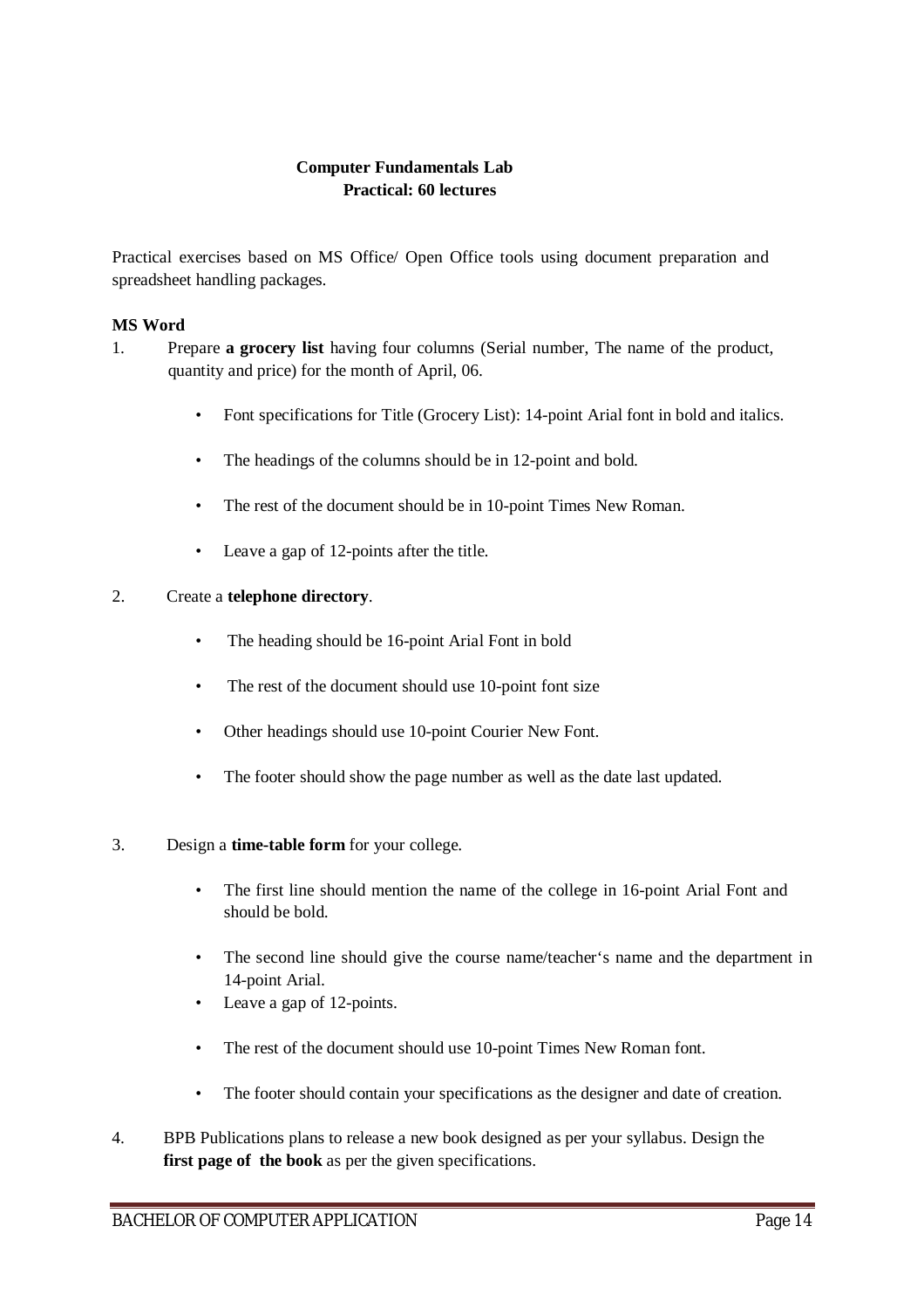### **Computer Fundamentals Lab Practical: 60 lectures**

Practical exercises based on MS Office/ Open Office tools using document preparation and spreadsheet handling packages.

#### **MS Word**

- 1. Prepare **a grocery list** having four columns (Serial number, The name of the product, quantity and price) for the month of April, 06.
	- Font specifications for Title (Grocery List): 14-point Arial font in bold and italics.
	- The headings of the columns should be in 12-point and bold.
	- The rest of the document should be in 10-point Times New Roman.
	- Leave a gap of 12-points after the title.

#### 2. Create a **telephone directory**.

- The heading should be 16-point Arial Font in bold
- The rest of the document should use 10-point font size
- Other headings should use 10-point Courier New Font.
- The footer should show the page number as well as the date last updated.
- 3. Design a **time-table form** for your college.
	- The first line should mention the name of the college in 16-point Arial Font and should be bold.
	- The second line should give the course name/teacher's name and the department in 14-point Arial.
	- Leave a gap of 12-points.
	- The rest of the document should use 10-point Times New Roman font.
	- The footer should contain your specifications as the designer and date of creation.
- 4. BPB Publications plans to release a new book designed as per your syllabus. Design the **first page of the book** as per the given specifications.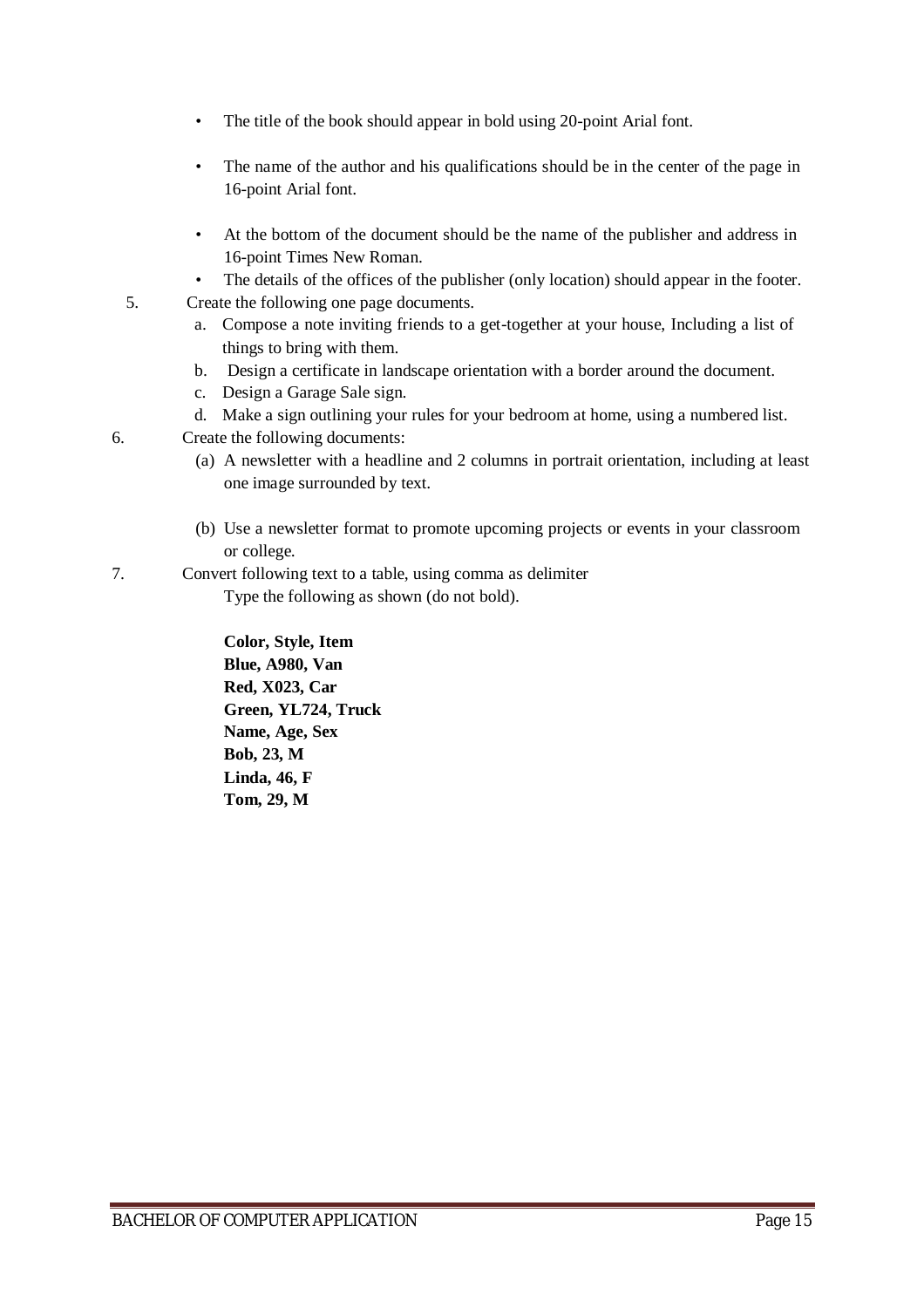- The title of the book should appear in bold using 20-point Arial font.
- The name of the author and his qualifications should be in the center of the page in 16-point Arial font.
- At the bottom of the document should be the name of the publisher and address in 16-point Times New Roman.
- The details of the offices of the publisher (only location) should appear in the footer.
- 5. Create the following one page documents.
	- a. Compose a note inviting friends to a get-together at your house, Including a list of things to bring with them.
	- b. Design a certificate in landscape orientation with a border around the document.
	- c. Design a Garage Sale sign.
	- d. Make a sign outlining your rules for your bedroom at home, using a numbered list.
- 6. Create the following documents:
	- (a) A newsletter with a headline and 2 columns in portrait orientation, including at least one image surrounded by text.
	- (b) Use a newsletter format to promote upcoming projects or events in your classroom or college.
- 7. Convert following text to a table, using comma as delimiter
	- Type the following as shown (do not bold).

**Color, Style, Item Blue, A980, Van Red, X023, Car Green, YL724, Truck Name, Age, Sex Bob, 23, M Linda, 46, F Tom, 29, M**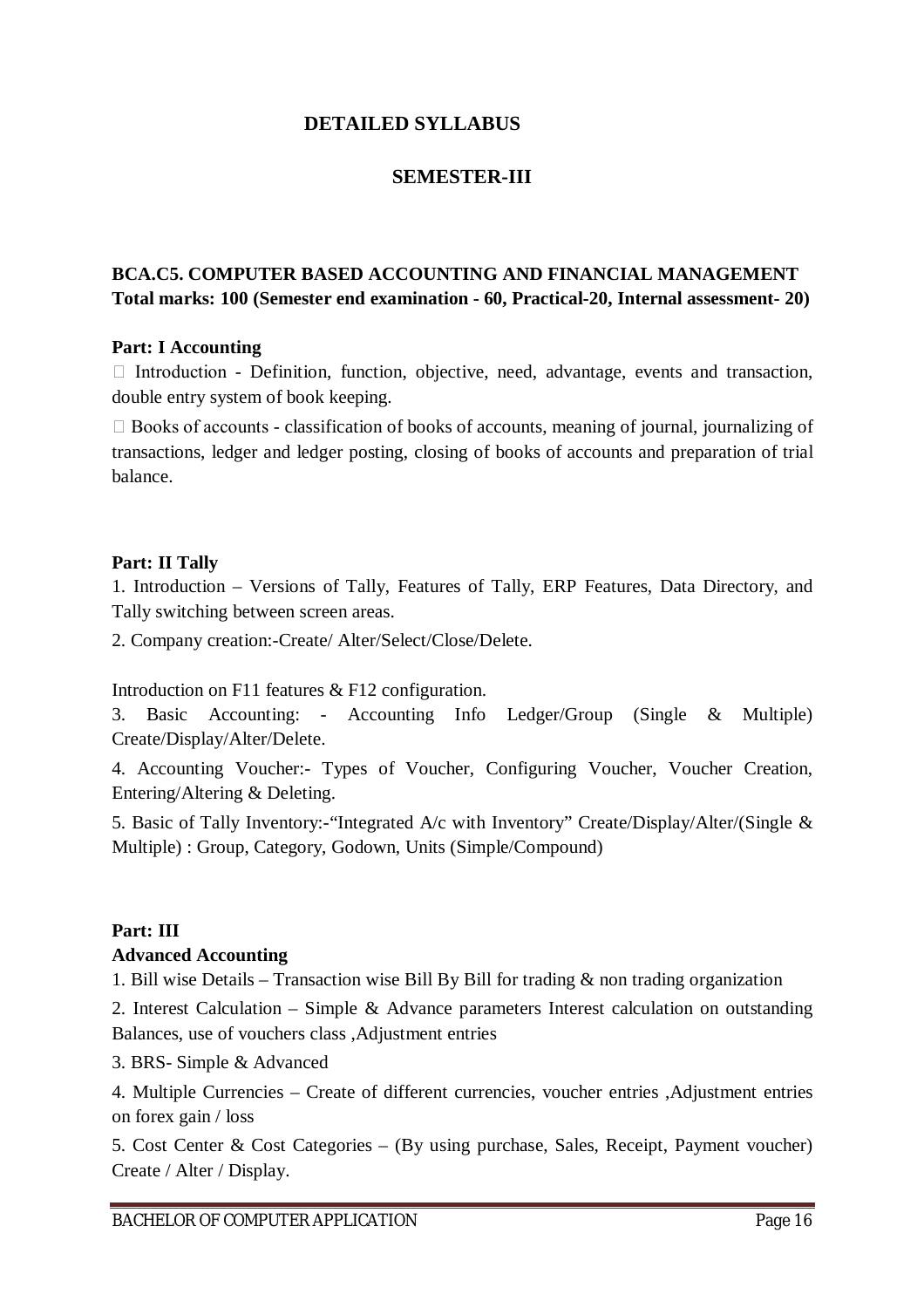## **DETAILED SYLLABUS**

## **SEMESTER-III**

## **BCA.C5. COMPUTER BASED ACCOUNTING AND FINANCIAL MANAGEMENT Total marks: 100 (Semester end examination - 60, Practical-20, Internal assessment- 20)**

#### **Part: I Accounting**

 $\Box$  Introduction - Definition, function, objective, need, advantage, events and transaction, double entry system of book keeping.

 $\Box$  Books of accounts - classification of books of accounts, meaning of journal, journalizing of transactions, ledger and ledger posting, closing of books of accounts and preparation of trial balance.

#### **Part: II Tally**

1. Introduction – Versions of Tally, Features of Tally, ERP Features, Data Directory, and Tally switching between screen areas.

2. Company creation:-Create/ Alter/Select/Close/Delete.

Introduction on F11 features & F12 configuration.

3. Basic Accounting: - Accounting Info Ledger/Group (Single & Multiple) Create/Display/Alter/Delete.

4. Accounting Voucher:- Types of Voucher, Configuring Voucher, Voucher Creation, Entering/Altering & Deleting.

5. Basic of Tally Inventory:-"Integrated A/c with Inventory" Create/Display/Alter/(Single & Multiple) : Group, Category, Godown, Units (Simple/Compound)

### **Part: III**

#### **Advanced Accounting**

1. Bill wise Details – Transaction wise Bill By Bill for trading & non trading organization

2. Interest Calculation – Simple & Advance parameters Interest calculation on outstanding Balances, use of vouchers class ,Adjustment entries

3. BRS- Simple & Advanced

4. Multiple Currencies – Create of different currencies, voucher entries ,Adjustment entries on forex gain / loss

5. Cost Center & Cost Categories – (By using purchase, Sales, Receipt, Payment voucher) Create / Alter / Display.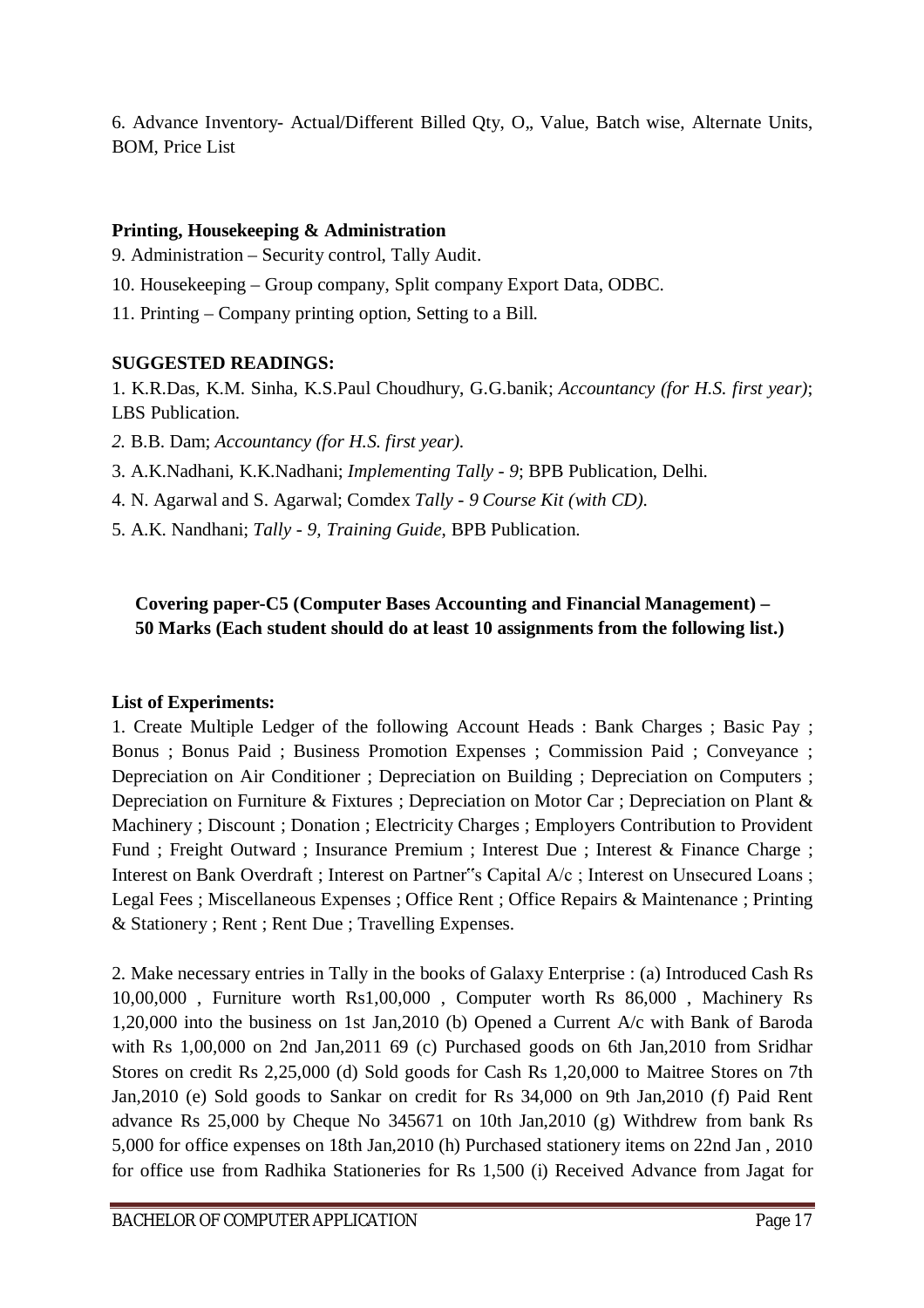6. Advance Inventory- Actual/Different Billed Qty, O., Value, Batch wise, Alternate Units, BOM, Price List

### **Printing, Housekeeping & Administration**

9. Administration – Security control, Tally Audit.

- 10. Housekeeping Group company, Split company Export Data, ODBC.
- 11. Printing Company printing option, Setting to a Bill.

## **SUGGESTED READINGS:**

1. K.R.Das, K.M. Sinha, K.S.Paul Choudhury, G.G.banik; *Accountancy (for H.S. first year)*; LBS Publication.

- *2.* B.B. Dam; *Accountancy (for H.S. first year).*
- 3. A.K.Nadhani, K.K.Nadhani; *Implementing Tally - 9*; BPB Publication, Delhi.
- 4. N. Agarwal and S. Agarwal; Comdex *Tally - 9 Course Kit (with CD).*
- 5. A.K. Nandhani; *Tally - 9, Training Guide*, BPB Publication.

## **Covering paper-C5 (Computer Bases Accounting and Financial Management) – 50 Marks (Each student should do at least 10 assignments from the following list.)**

## **List of Experiments:**

1. Create Multiple Ledger of the following Account Heads : Bank Charges ; Basic Pay ; Bonus ; Bonus Paid ; Business Promotion Expenses ; Commission Paid ; Conveyance ; Depreciation on Air Conditioner ; Depreciation on Building ; Depreciation on Computers ; Depreciation on Furniture & Fixtures ; Depreciation on Motor Car ; Depreciation on Plant & Machinery ; Discount ; Donation ; Electricity Charges ; Employers Contribution to Provident Fund ; Freight Outward ; Insurance Premium ; Interest Due ; Interest & Finance Charge ; Interest on Bank Overdraft ; Interest on Partner"s Capital A/c ; Interest on Unsecured Loans ; Legal Fees ; Miscellaneous Expenses ; Office Rent ; Office Repairs & Maintenance ; Printing & Stationery ; Rent ; Rent Due ; Travelling Expenses.

2. Make necessary entries in Tally in the books of Galaxy Enterprise : (a) Introduced Cash Rs 10,00,000 , Furniture worth Rs1,00,000 , Computer worth Rs 86,000 , Machinery Rs 1,20,000 into the business on 1st Jan,2010 (b) Opened a Current A/c with Bank of Baroda with Rs 1,00,000 on 2nd Jan, 2011 69 (c) Purchased goods on 6th Jan, 2010 from Sridhar Stores on credit Rs 2,25,000 (d) Sold goods for Cash Rs 1,20,000 to Maitree Stores on 7th Jan,2010 (e) Sold goods to Sankar on credit for Rs 34,000 on 9th Jan,2010 (f) Paid Rent advance Rs 25,000 by Cheque No 345671 on 10th Jan,2010 (g) Withdrew from bank Rs 5,000 for office expenses on 18th Jan,2010 (h) Purchased stationery items on 22nd Jan , 2010 for office use from Radhika Stationeries for Rs 1,500 (i) Received Advance from Jagat for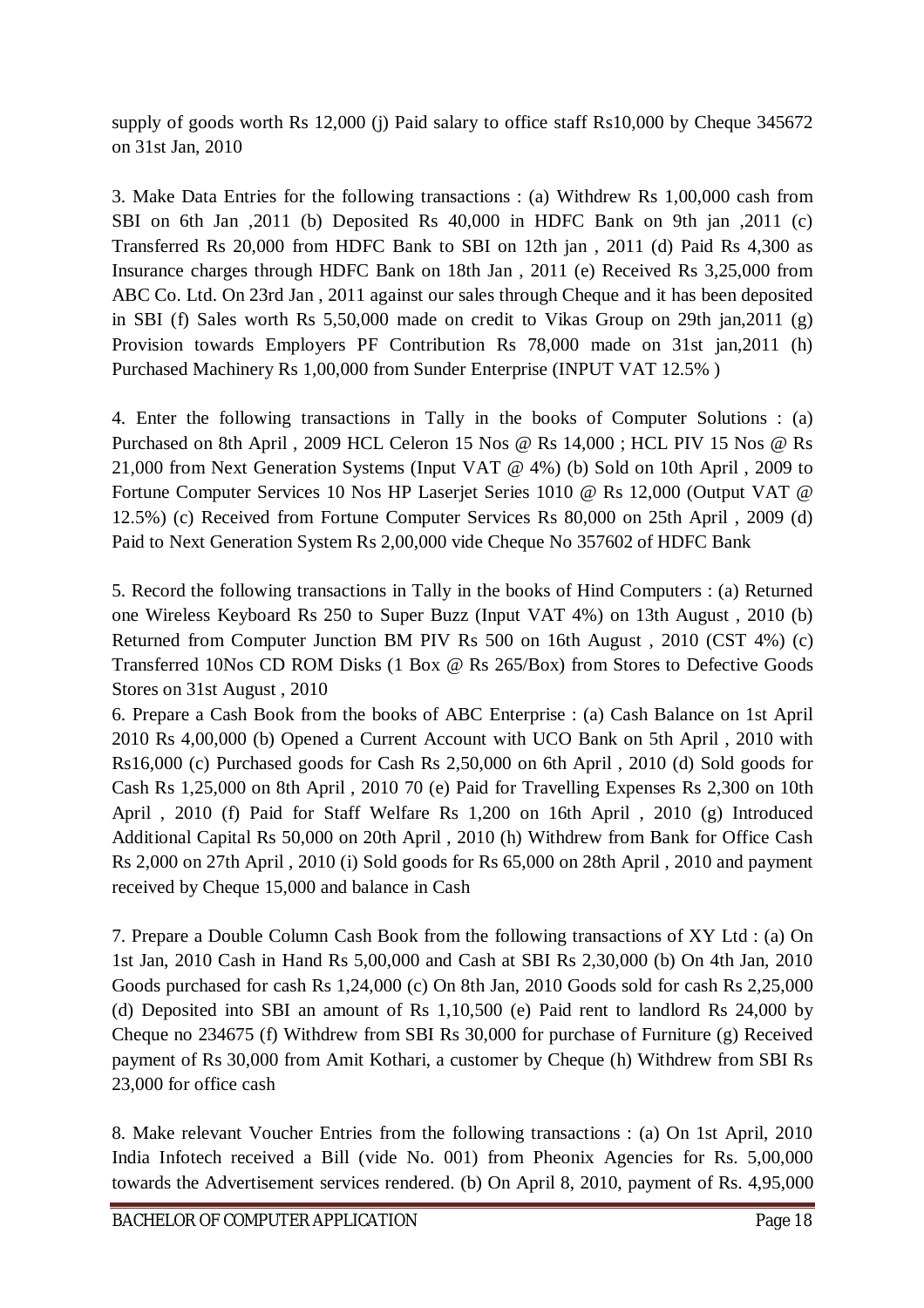supply of goods worth Rs 12,000 (j) Paid salary to office staff Rs10,000 by Cheque 345672 on 31st Jan, 2010

3. Make Data Entries for the following transactions : (a) Withdrew Rs 1,00,000 cash from SBI on 6th Jan ,2011 (b) Deposited Rs 40,000 in HDFC Bank on 9th jan ,2011 (c) Transferred Rs 20,000 from HDFC Bank to SBI on 12th jan , 2011 (d) Paid Rs 4,300 as Insurance charges through HDFC Bank on 18th Jan , 2011 (e) Received Rs 3,25,000 from ABC Co. Ltd. On 23rd Jan , 2011 against our sales through Cheque and it has been deposited in SBI (f) Sales worth Rs 5,50,000 made on credit to Vikas Group on 29th jan,2011 (g) Provision towards Employers PF Contribution Rs 78,000 made on 31st jan,2011 (h) Purchased Machinery Rs 1,00,000 from Sunder Enterprise (INPUT VAT 12.5% )

4. Enter the following transactions in Tally in the books of Computer Solutions : (a) Purchased on 8th April , 2009 HCL Celeron 15 Nos @ Rs 14,000 ; HCL PIV 15 Nos @ Rs 21,000 from Next Generation Systems (Input VAT @ 4%) (b) Sold on 10th April , 2009 to Fortune Computer Services 10 Nos HP Laserjet Series 1010 @ Rs 12,000 (Output VAT @ 12.5%) (c) Received from Fortune Computer Services Rs 80,000 on 25th April , 2009 (d) Paid to Next Generation System Rs 2,00,000 vide Cheque No 357602 of HDFC Bank

5. Record the following transactions in Tally in the books of Hind Computers : (a) Returned one Wireless Keyboard Rs 250 to Super Buzz (Input VAT 4%) on 13th August , 2010 (b) Returned from Computer Junction BM PIV Rs 500 on 16th August , 2010 (CST 4%) (c) Transferred 10Nos CD ROM Disks (1 Box @ Rs 265/Box) from Stores to Defective Goods Stores on 31st August , 2010

6. Prepare a Cash Book from the books of ABC Enterprise : (a) Cash Balance on 1st April 2010 Rs 4,00,000 (b) Opened a Current Account with UCO Bank on 5th April , 2010 with Rs16,000 (c) Purchased goods for Cash Rs 2,50,000 on 6th April , 2010 (d) Sold goods for Cash Rs 1,25,000 on 8th April , 2010 70 (e) Paid for Travelling Expenses Rs 2,300 on 10th April , 2010 (f) Paid for Staff Welfare Rs 1,200 on 16th April , 2010 (g) Introduced Additional Capital Rs 50,000 on 20th April , 2010 (h) Withdrew from Bank for Office Cash Rs 2,000 on 27th April , 2010 (i) Sold goods for Rs 65,000 on 28th April , 2010 and payment received by Cheque 15,000 and balance in Cash

7. Prepare a Double Column Cash Book from the following transactions of XY Ltd : (a) On 1st Jan, 2010 Cash in Hand Rs 5,00,000 and Cash at SBI Rs 2,30,000 (b) On 4th Jan, 2010 Goods purchased for cash Rs 1,24,000 (c) On 8th Jan, 2010 Goods sold for cash Rs 2,25,000 (d) Deposited into SBI an amount of Rs 1,10,500 (e) Paid rent to landlord Rs 24,000 by Cheque no 234675 (f) Withdrew from SBI Rs 30,000 for purchase of Furniture (g) Received payment of Rs 30,000 from Amit Kothari, a customer by Cheque (h) Withdrew from SBI Rs 23,000 for office cash

8. Make relevant Voucher Entries from the following transactions : (a) On 1st April, 2010 India Infotech received a Bill (vide No. 001) from Pheonix Agencies for Rs. 5,00,000 towards the Advertisement services rendered. (b) On April 8, 2010, payment of Rs. 4,95,000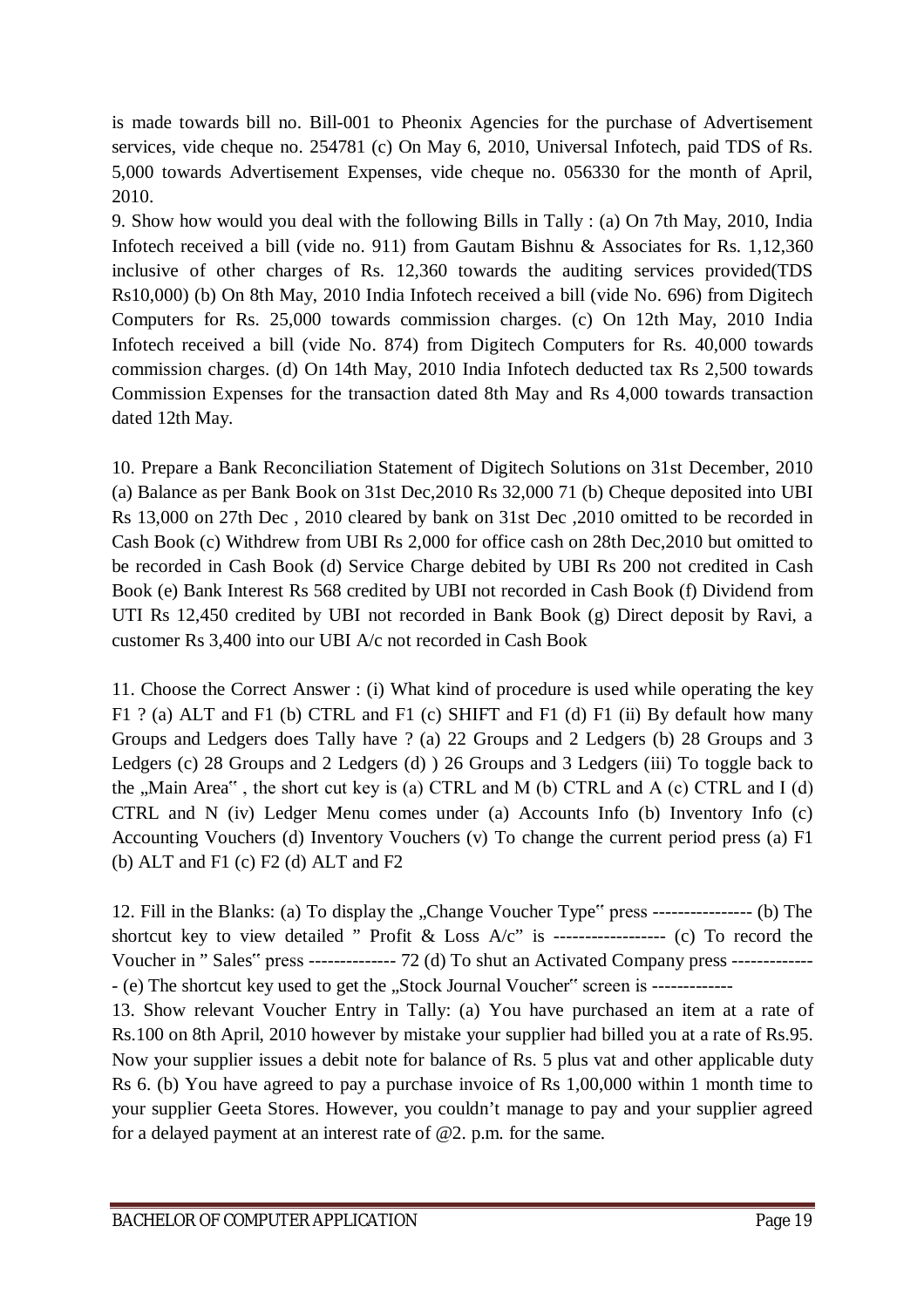is made towards bill no. Bill-001 to Pheonix Agencies for the purchase of Advertisement services, vide cheque no. 254781 (c) On May 6, 2010, Universal Infotech, paid TDS of Rs. 5,000 towards Advertisement Expenses, vide cheque no. 056330 for the month of April, 2010.

9. Show how would you deal with the following Bills in Tally : (a) On 7th May, 2010, India Infotech received a bill (vide no. 911) from Gautam Bishnu & Associates for Rs. 1,12,360 inclusive of other charges of Rs. 12,360 towards the auditing services provided(TDS Rs10,000) (b) On 8th May, 2010 India Infotech received a bill (vide No. 696) from Digitech Computers for Rs. 25,000 towards commission charges. (c) On 12th May, 2010 India Infotech received a bill (vide No. 874) from Digitech Computers for Rs. 40,000 towards commission charges. (d) On 14th May, 2010 India Infotech deducted tax Rs 2,500 towards Commission Expenses for the transaction dated 8th May and Rs 4,000 towards transaction dated 12th May.

10. Prepare a Bank Reconciliation Statement of Digitech Solutions on 31st December, 2010 (a) Balance as per Bank Book on 31st Dec,2010 Rs 32,000 71 (b) Cheque deposited into UBI Rs 13,000 on 27th Dec , 2010 cleared by bank on 31st Dec ,2010 omitted to be recorded in Cash Book (c) Withdrew from UBI Rs 2,000 for office cash on 28th Dec,2010 but omitted to be recorded in Cash Book (d) Service Charge debited by UBI Rs 200 not credited in Cash Book (e) Bank Interest Rs 568 credited by UBI not recorded in Cash Book (f) Dividend from UTI Rs 12,450 credited by UBI not recorded in Bank Book (g) Direct deposit by Ravi, a customer Rs 3,400 into our UBI A/c not recorded in Cash Book

11. Choose the Correct Answer : (i) What kind of procedure is used while operating the key F1 ? (a) ALT and F1 (b) CTRL and F1 (c) SHIFT and F1 (d) F1 (ii) By default how many Groups and Ledgers does Tally have ? (a) 22 Groups and 2 Ledgers (b) 28 Groups and 3 Ledgers (c) 28 Groups and 2 Ledgers (d) ) 26 Groups and 3 Ledgers (iii) To toggle back to the  $Main Area$ <sup>\*</sup>, the short cut key is (a) CTRL and M (b) CTRL and A (c) CTRL and I (d) CTRL and N (iv) Ledger Menu comes under (a) Accounts Info (b) Inventory Info (c) Accounting Vouchers (d) Inventory Vouchers (v) To change the current period press (a) F1 (b) ALT and F1 (c) F2 (d) ALT and F2

12. Fill in the Blanks: (a) To display the "Change Voucher Type" press ----------------- (b) The shortcut key to view detailed " Profit & Loss  $A/c$ " is ------------------ (c) To record the Voucher in " Sales" press -------------- 72 (d) To shut an Activated Company press ------------- - (e) The shortcut key used to get the "Stock Journal Voucher" screen is -------------13. Show relevant Voucher Entry in Tally: (a) You have purchased an item at a rate of Rs.100 on 8th April, 2010 however by mistake your supplier had billed you at a rate of Rs.95. Now your supplier issues a debit note for balance of Rs. 5 plus vat and other applicable duty Rs 6. (b) You have agreed to pay a purchase invoice of Rs 1,00,000 within 1 month time to your supplier Geeta Stores. However, you couldn't manage to pay and your supplier agreed for a delayed payment at an interest rate of @2. p.m. for the same.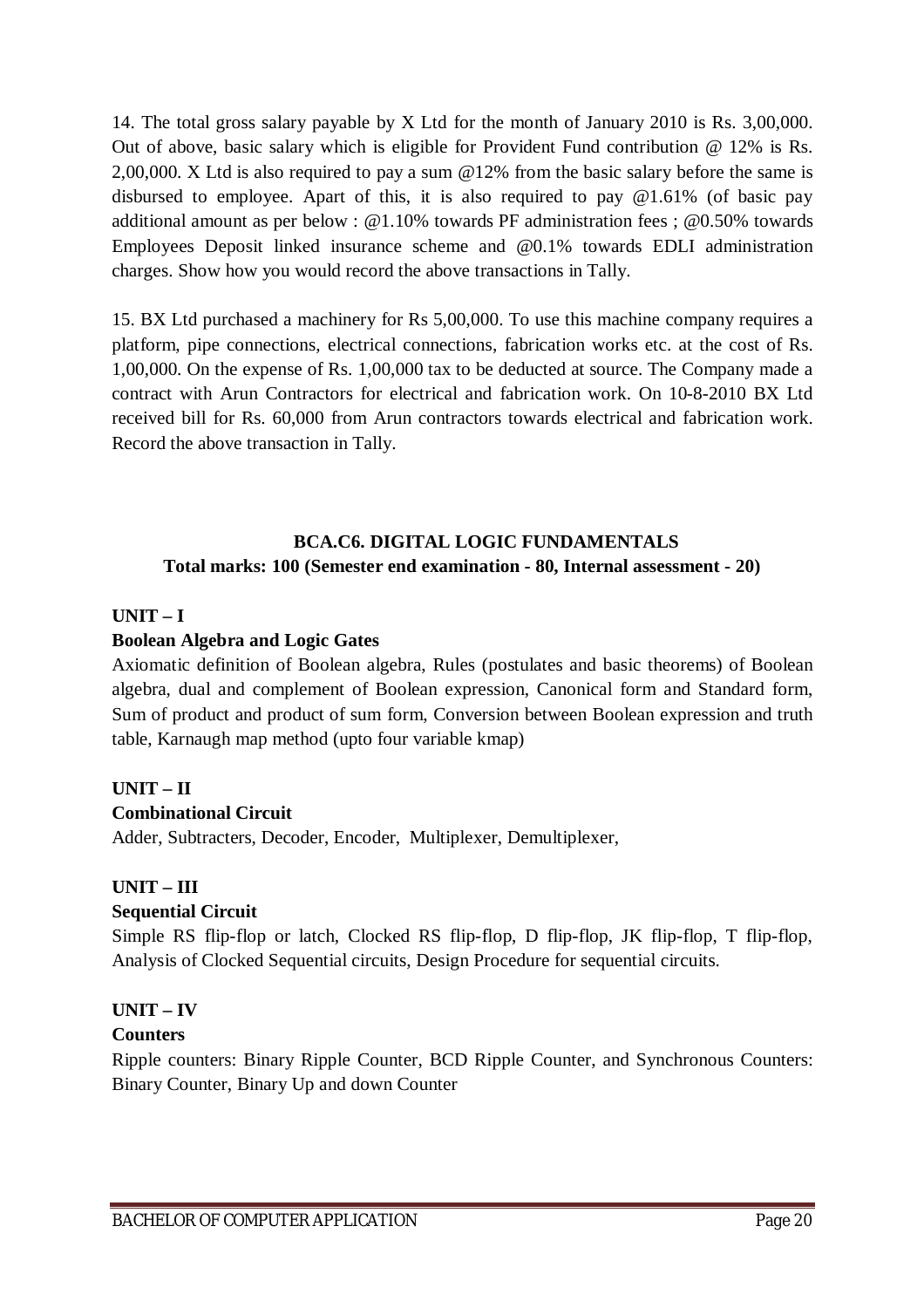14. The total gross salary payable by X Ltd for the month of January 2010 is Rs. 3,00,000. Out of above, basic salary which is eligible for Provident Fund contribution @ 12% is Rs. 2,00,000. X Ltd is also required to pay a sum @12% from the basic salary before the same is disbursed to employee. Apart of this, it is also required to pay @1.61% (of basic pay additional amount as per below : @1.10% towards PF administration fees ; @0.50% towards Employees Deposit linked insurance scheme and @0.1% towards EDLI administration charges. Show how you would record the above transactions in Tally.

15. BX Ltd purchased a machinery for Rs 5,00,000. To use this machine company requires a platform, pipe connections, electrical connections, fabrication works etc. at the cost of Rs. 1,00,000. On the expense of Rs. 1,00,000 tax to be deducted at source. The Company made a contract with Arun Contractors for electrical and fabrication work. On 10-8-2010 BX Ltd received bill for Rs. 60,000 from Arun contractors towards electrical and fabrication work. Record the above transaction in Tally.

## **BCA.C6. DIGITAL LOGIC FUNDAMENTALS Total marks: 100 (Semester end examination - 80, Internal assessment - 20)**

## **UNIT – I**

## **Boolean Algebra and Logic Gates**

Axiomatic definition of Boolean algebra, Rules (postulates and basic theorems) of Boolean algebra, dual and complement of Boolean expression, Canonical form and Standard form, Sum of product and product of sum form, Conversion between Boolean expression and truth table, Karnaugh map method (upto four variable kmap)

## **UNIT – II**

### **Combinational Circuit**

Adder, Subtracters, Decoder, Encoder, Multiplexer, Demultiplexer,

## **UNIT – III**

## **Sequential Circuit**

Simple RS flip-flop or latch, Clocked RS flip-flop, D flip-flop, JK flip-flop, T flip-flop, Analysis of Clocked Sequential circuits, Design Procedure for sequential circuits.

## **UNIT – IV**

### **Counters**

Ripple counters: Binary Ripple Counter, BCD Ripple Counter, and Synchronous Counters: Binary Counter, Binary Up and down Counter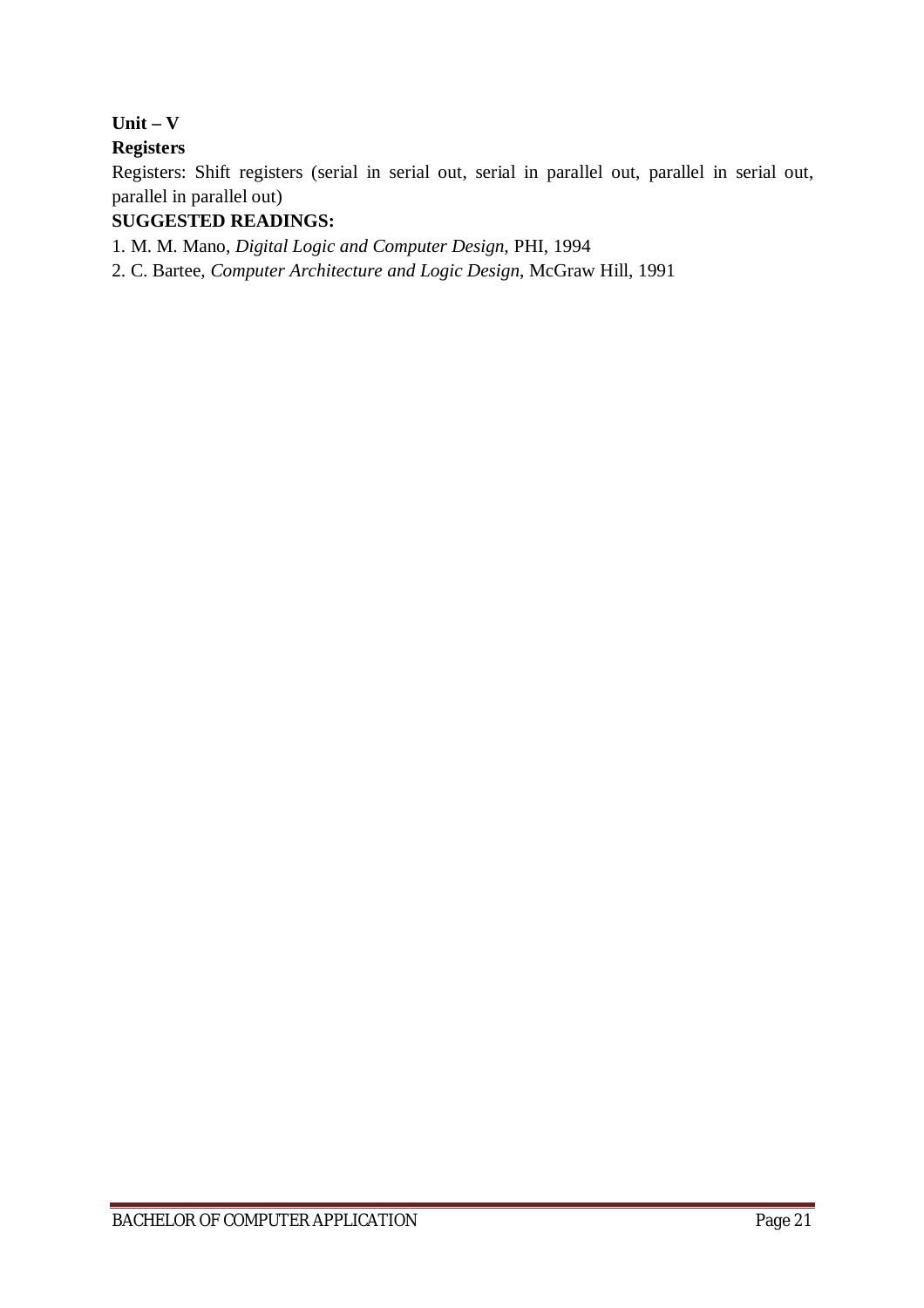**Unit – V** 

## **Registers**

Registers: Shift registers (serial in serial out, serial in parallel out, parallel in serial out, parallel in parallel out)

## **SUGGESTED READINGS:**

1. M. M. Mano, *Digital Logic and Computer Design*, PHI, 1994

2. C. Bartee*, Computer Architecture and Logic Design*, McGraw Hill, 1991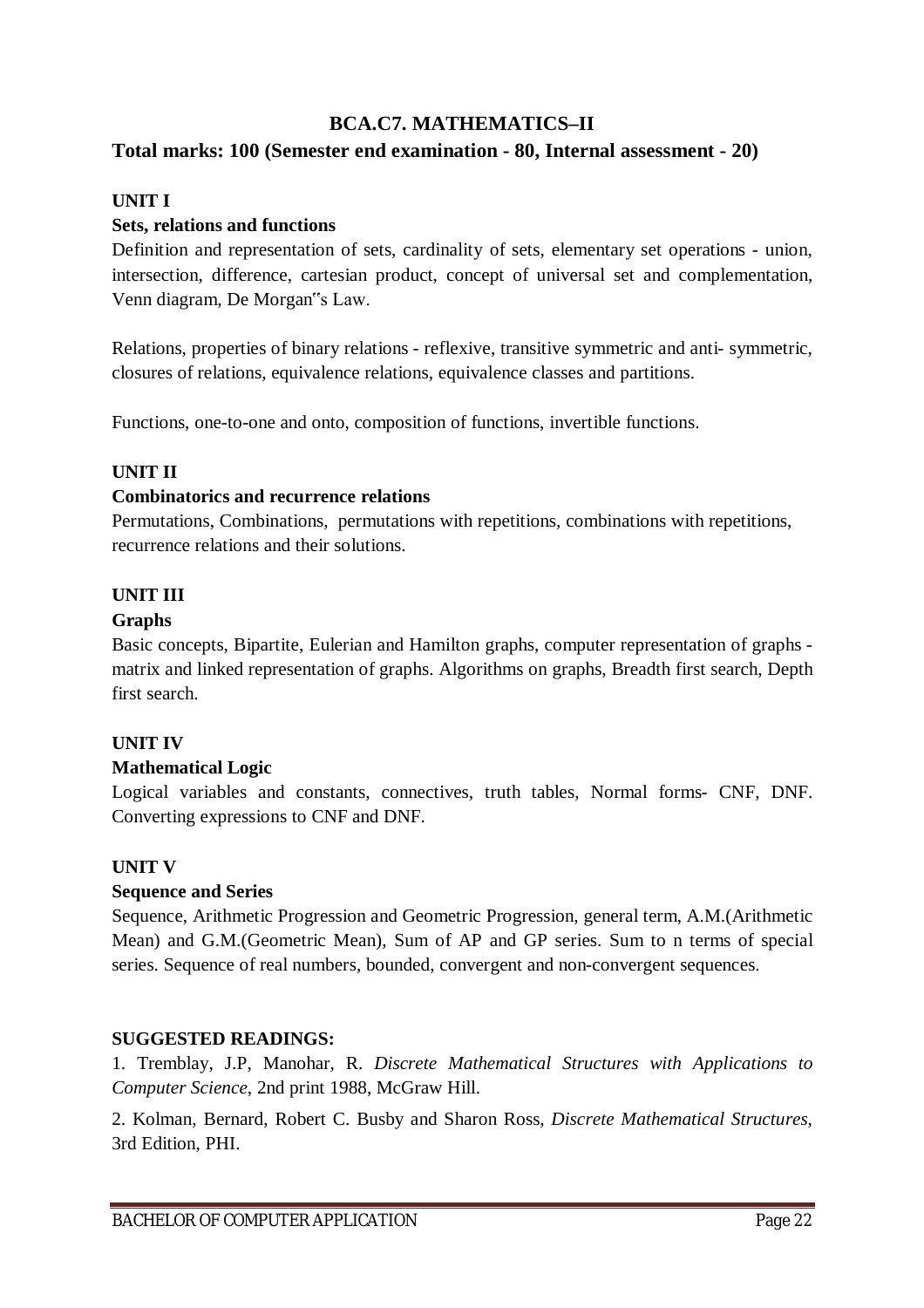## **BCA.C7. MATHEMATICS–II**

## **Total marks: 100 (Semester end examination - 80, Internal assessment - 20)**

### **UNIT I**

#### **Sets, relations and functions**

Definition and representation of sets, cardinality of sets, elementary set operations - union, intersection, difference, cartesian product, concept of universal set and complementation, Venn diagram, De Morgan"s Law.

Relations, properties of binary relations - reflexive, transitive symmetric and anti- symmetric, closures of relations, equivalence relations, equivalence classes and partitions.

Functions, one-to-one and onto, composition of functions, invertible functions.

#### **UNIT II**

#### **Combinatorics and recurrence relations**

Permutations, Combinations, permutations with repetitions, combinations with repetitions, recurrence relations and their solutions.

### **UNIT III**

#### **Graphs**

Basic concepts, Bipartite, Eulerian and Hamilton graphs, computer representation of graphs matrix and linked representation of graphs. Algorithms on graphs, Breadth first search, Depth first search.

### **UNIT IV**

### **Mathematical Logic**

Logical variables and constants, connectives, truth tables, Normal forms- CNF, DNF. Converting expressions to CNF and DNF.

### **UNIT V**

#### **Sequence and Series**

Sequence, Arithmetic Progression and Geometric Progression, general term, A.M.(Arithmetic Mean) and G.M.(Geometric Mean), Sum of AP and GP series. Sum to n terms of special series. Sequence of real numbers, bounded, convergent and non-convergent sequences.

#### **SUGGESTED READINGS:**

1. Tremblay, J.P, Manohar, R. *Discrete Mathematical Structures with Applications to Computer Science*, 2nd print 1988, McGraw Hill.

2. Kolman, Bernard, Robert C. Busby and Sharon Ross, *Discrete Mathematical Structures*, 3rd Edition, PHI.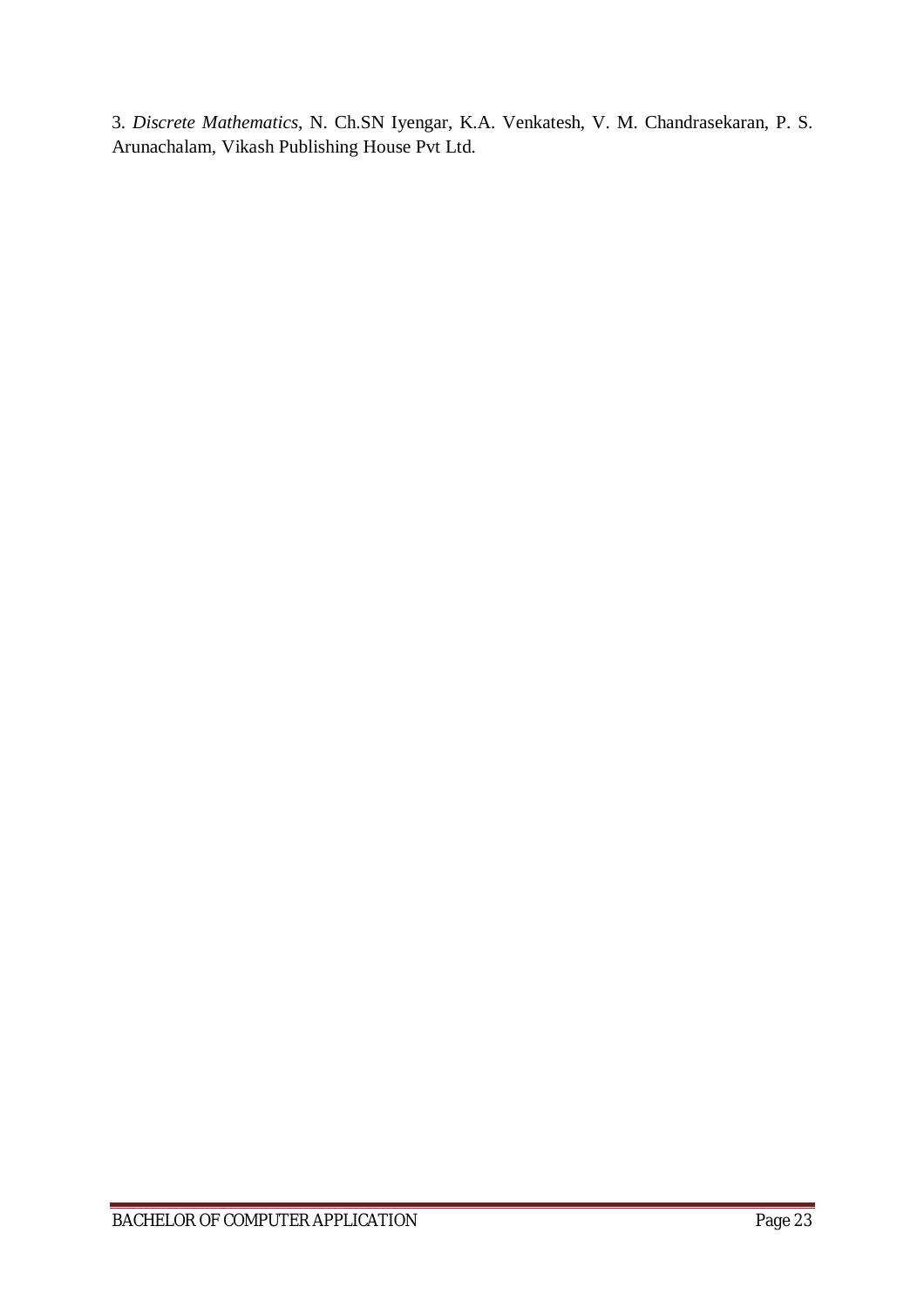3. *Discrete Mathematics*, N. Ch.SN Iyengar, K.A. Venkatesh, V. M. Chandrasekaran, P. S. Arunachalam, Vikash Publishing House Pvt Ltd.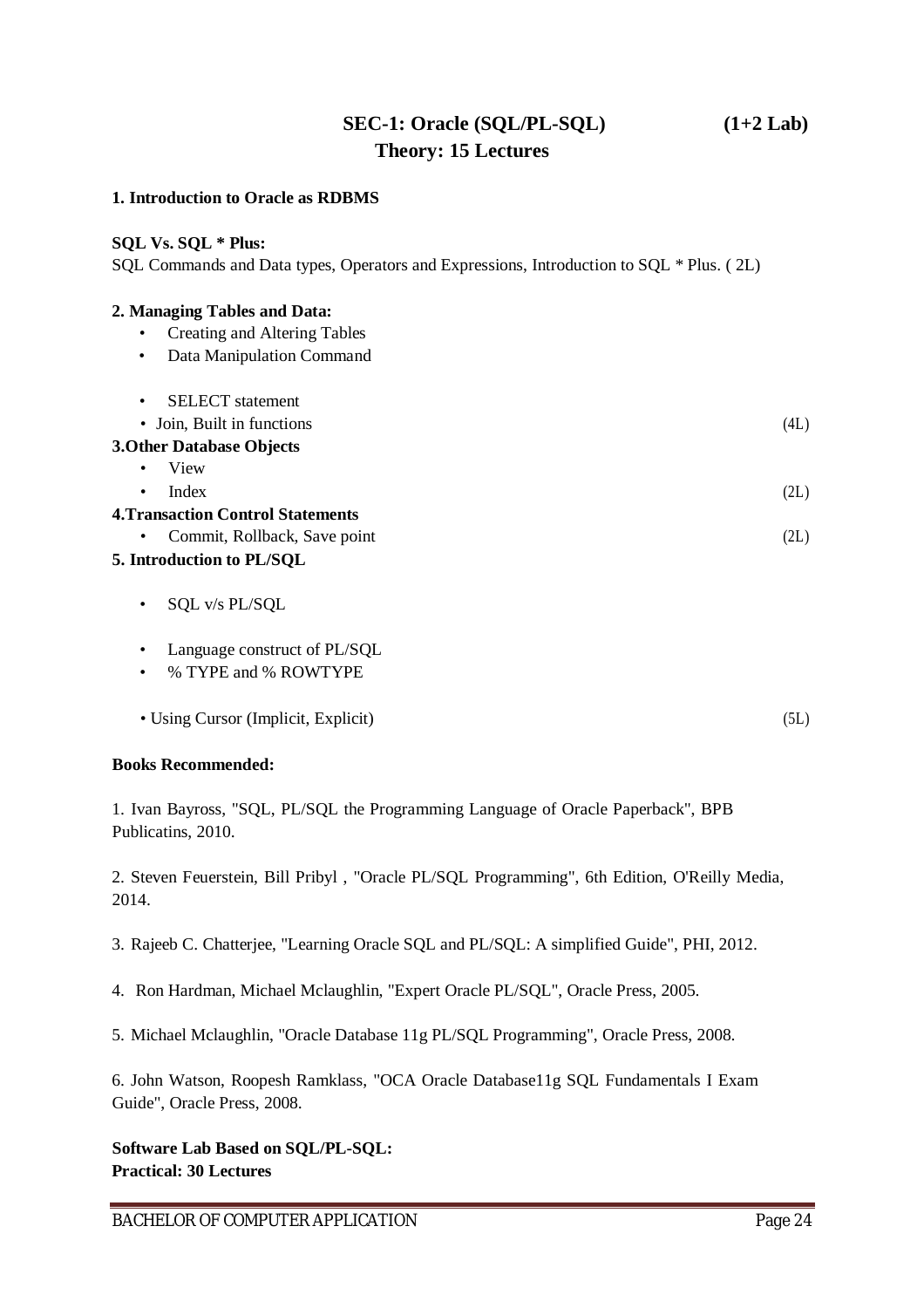## **SEC-1: Oracle (SQL/PL-SQL) (1+2 Lab) Theory: 15 Lectures**

#### **1. Introduction to Oracle as RDBMS**

#### **SQL Vs. SQL \* Plus:**

SQL Commands and Data types, Operators and Expressions, Introduction to SQL \* Plus. ( 2L)

#### **2. Managing Tables and Data:**

- Creating and Altering Tables
- Data Manipulation Command

| <b>SELECT</b> statement |  |
|-------------------------|--|
|-------------------------|--|

| • Join, Built in functions       | (4L) |
|----------------------------------|------|
| <b>3. Other Database Objects</b> |      |
| $\bullet$ View                   |      |
| Index<br>$\bullet$               | (2L) |

| <b>4. Transaction Control Statements</b> |      |
|------------------------------------------|------|
| • Commit, Rollback, Save point           | (2L) |

#### **5. Introduction to PL/SQL**

- SQL v/s PL/SQL
- Language construct of PL/SQL
- % TYPE and % ROWTYPE
- Using Cursor (Implicit, Explicit) (5L)

#### **Books Recommended:**

1. Ivan Bayross, "SQL, PL/SQL the Programming Language of Oracle Paperback", BPB Publicatins, 2010.

2. Steven Feuerstein, Bill Pribyl , "Oracle PL/SQL Programming", 6th Edition, O'Reilly Media, 2014.

- 3. Rajeeb C. Chatterjee, "Learning Oracle SQL and PL/SQL: A simplified Guide", PHI, 2012.
- 4. Ron Hardman, Michael Mclaughlin, "Expert Oracle PL/SQL", Oracle Press, 2005.
- 5. Michael Mclaughlin, "Oracle Database 11g PL/SQL Programming", Oracle Press, 2008.

6. John Watson, Roopesh Ramklass, "OCA Oracle Database11g SQL Fundamentals I Exam Guide", Oracle Press, 2008.

**Software Lab Based on SQL/PL-SQL: Practical: 30 Lectures**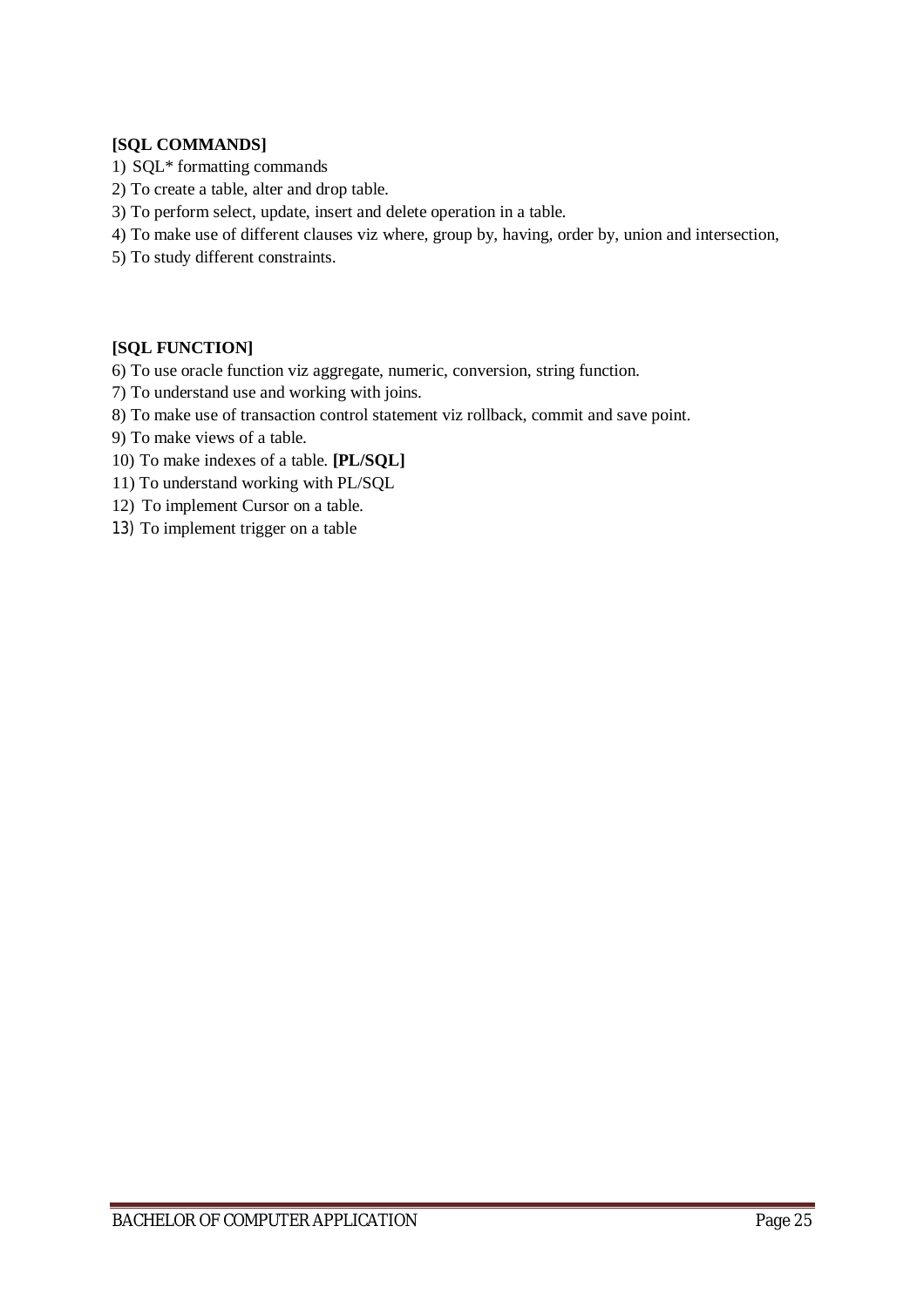#### **[SQL COMMANDS]**

- 1) SQL\* formatting commands
- 2) To create a table, alter and drop table.
- 3) To perform select, update, insert and delete operation in a table.
- 4) To make use of different clauses viz where, group by, having, order by, union and intersection,
- 5) To study different constraints.

#### **[SQL FUNCTION]**

- 6) To use oracle function viz aggregate, numeric, conversion, string function.
- 7) To understand use and working with joins.
- 8) To make use of transaction control statement viz rollback, commit and save point.
- 9) To make views of a table.
- 10) To make indexes of a table. **[PL/SQL]**
- 11) To understand working with PL/SQL
- 12) To implement Cursor on a table.
- 13) To implement trigger on a table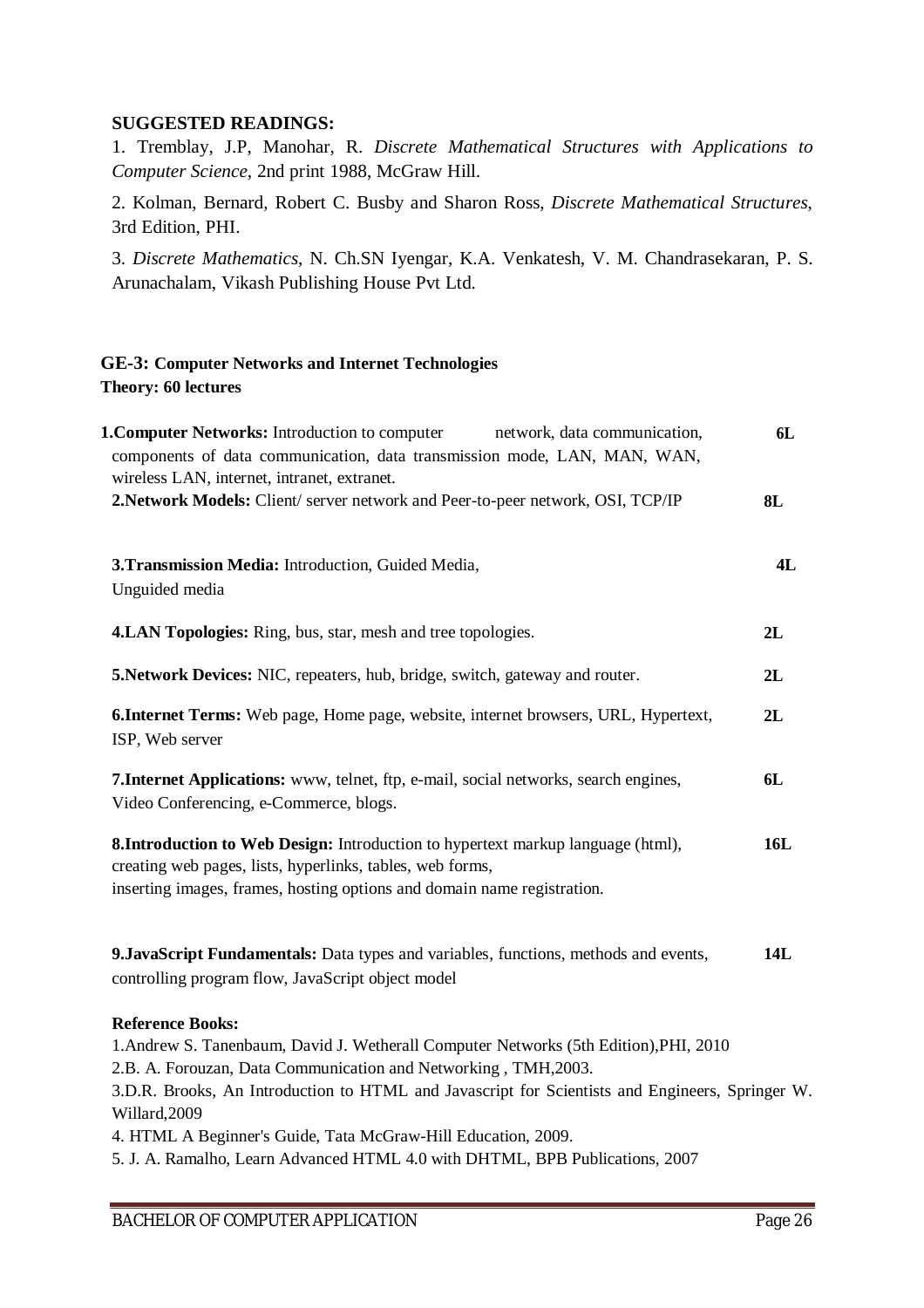### **SUGGESTED READINGS:**

1. Tremblay, J.P, Manohar, R. *Discrete Mathematical Structures with Applications to Computer Science*, 2nd print 1988, McGraw Hill.

2. Kolman, Bernard, Robert C. Busby and Sharon Ross, *Discrete Mathematical Structures*, 3rd Edition, PHI.

3. *Discrete Mathematics*, N. Ch.SN Iyengar, K.A. Venkatesh, V. M. Chandrasekaran, P. S. Arunachalam, Vikash Publishing House Pvt Ltd.

#### **GE-3: Computer Networks and Internet Technologies Theory: 60 lectures**

| <b>1. Computer Networks:</b> Introduction to computer<br>network, data communication,<br>components of data communication, data transmission mode, LAN, MAN, WAN,<br>wireless LAN, internet, intranet, extranet.         | 6L  |
|--------------------------------------------------------------------------------------------------------------------------------------------------------------------------------------------------------------------------|-----|
| 2. Network Models: Client/ server network and Peer-to-peer network, OSI, TCP/IP                                                                                                                                          | 8L  |
| 3. Transmission Media: Introduction, Guided Media,<br>Unguided media                                                                                                                                                     | 4L  |
| <b>4.LAN Topologies:</b> Ring, bus, star, mesh and tree topologies.                                                                                                                                                      | 2L  |
| 5. Network Devices: NIC, repeaters, hub, bridge, switch, gateway and router.                                                                                                                                             | 2L  |
| <b>6. Internet Terms:</b> Web page, Home page, website, internet browsers, URL, Hypertext,<br>ISP, Web server                                                                                                            | 2L  |
| <b>7. Internet Applications:</b> www, telnet, ftp, e-mail, social networks, search engines,<br>Video Conferencing, e-Commerce, blogs.                                                                                    | 6L  |
| 8. Introduction to Web Design: Introduction to hypertext markup language (html),<br>creating web pages, lists, hyperlinks, tables, web forms,<br>inserting images, frames, hosting options and domain name registration. | 16L |
| 9. JavaScript Fundamentals: Data types and variables, functions, methods and events,<br>controlling program flow, JavaScript object model                                                                                | 14L |
| <b>Reference Books:</b>                                                                                                                                                                                                  |     |
| 1. Andrew S. Tanenbaum, David J. Wetherall Computer Networks (5th Edition), PHI, 2010<br>2.B. A. Forouzan, Data Communication and Networking, TMH, 2003.                                                                 |     |
| 3.D.R. Brooks, An Introduction to HTML and Javascript for Scientists and Engineers, Springer W.<br>Willard, 2009                                                                                                         |     |
| 4. HTML A Beginner's Guide, Tata McGraw-Hill Education, 2009.                                                                                                                                                            |     |

5. J. A. Ramalho, Learn Advanced HTML 4.0 with DHTML, BPB Publications, 2007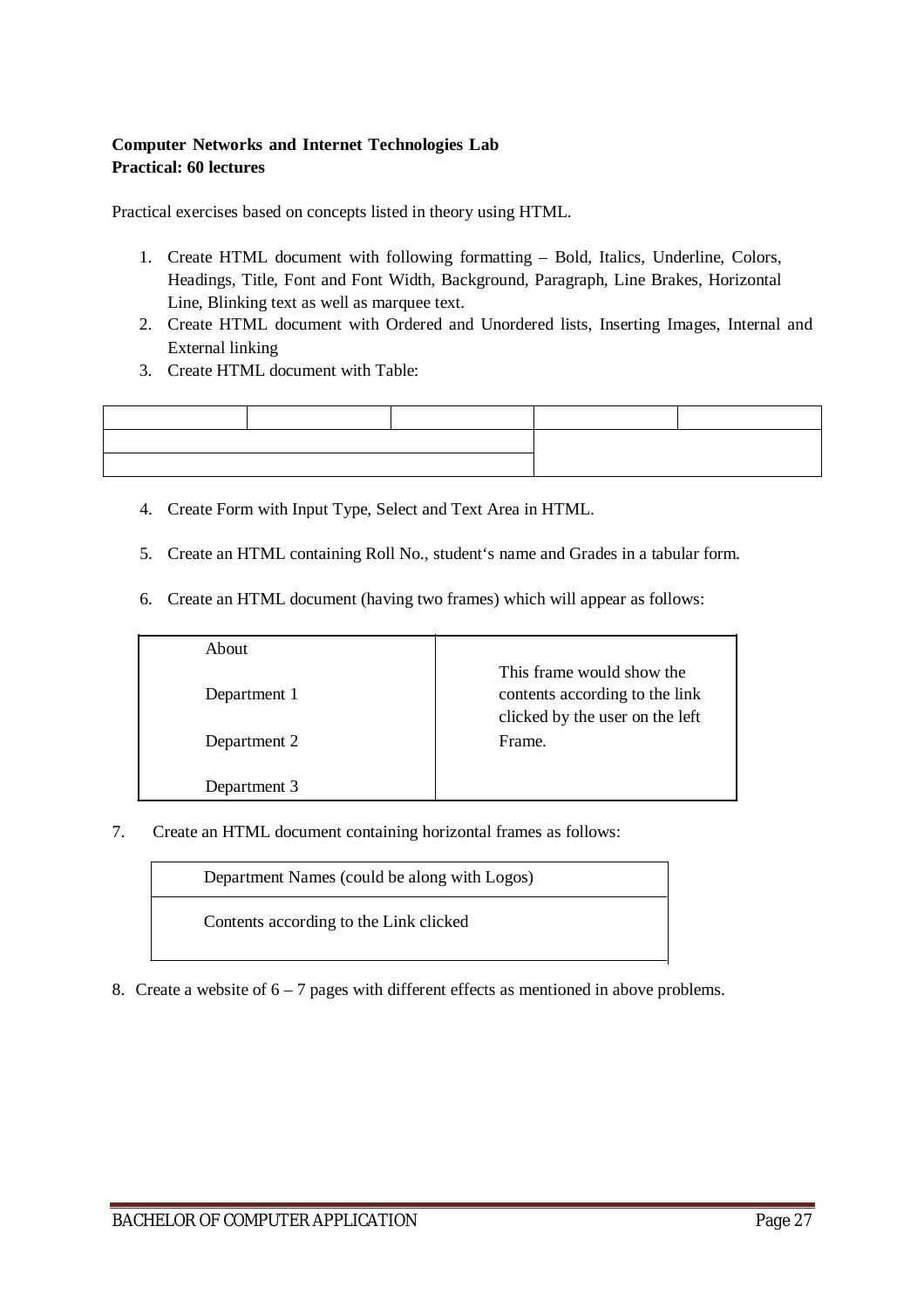#### **Computer Networks and Internet Technologies Lab Practical: 60 lectures**

Practical exercises based on concepts listed in theory using HTML.

- 1. Create HTML document with following formatting Bold, Italics, Underline, Colors, Headings, Title, Font and Font Width, Background, Paragraph, Line Brakes, Horizontal Line, Blinking text as well as marquee text.
- 2. Create HTML document with Ordered and Unordered lists, Inserting Images, Internal and External linking
- 3. Create HTML document with Table:



- 4. Create Form with Input Type, Select and Text Area in HTML.
- 5. Create an HTML containing Roll No., student's name and Grades in a tabular form.
- 6. Create an HTML document (having two frames) which will appear as follows:

| About        |                                                                                                |
|--------------|------------------------------------------------------------------------------------------------|
| Department 1 | This frame would show the<br>contents according to the link<br>clicked by the user on the left |
| Department 2 | Frame.                                                                                         |
| Department 3 |                                                                                                |

7. Create an HTML document containing horizontal frames as follows:

Department Names (could be along with Logos)

Contents according to the Link clicked

8. Create a website of 6 – 7 pages with different effects as mentioned in above problems.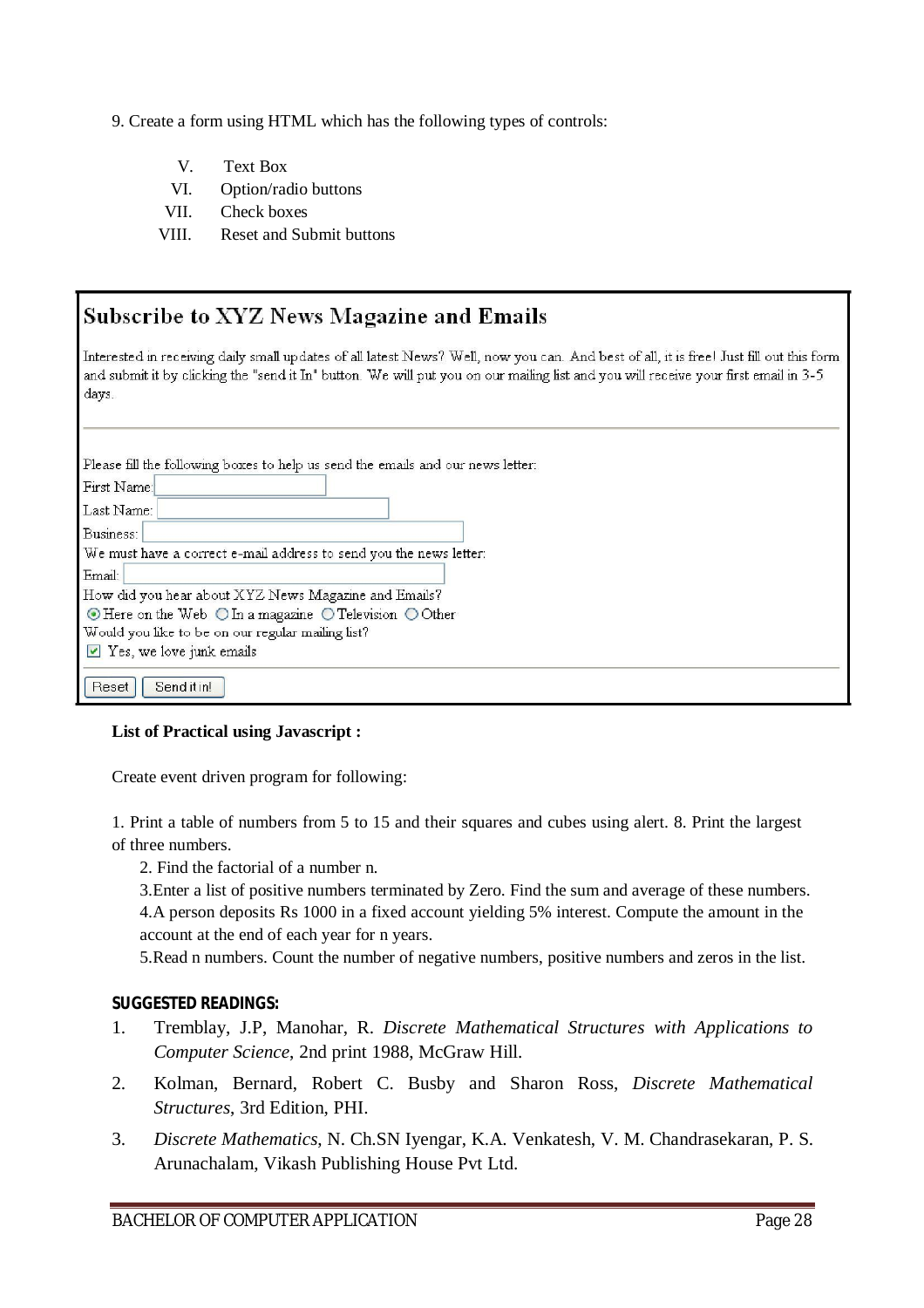- 9. Create a form using HTML which has the following types of controls:
	- V. Text Box
	- VI. Option/radio buttons
	- VII. Check boxes
	- VIII. Reset and Submit buttons

| Subscribe to XYZ News Magazine and Emails                                                                                                                                                                                                                                                |  |
|------------------------------------------------------------------------------------------------------------------------------------------------------------------------------------------------------------------------------------------------------------------------------------------|--|
| Interested in receiving daily small updates of all latest News? Well, now you can. And best of all, it is free! Just fill out this form<br>and submit it by clicking the "send it In" button. We will put you on our mailing list and you will receive your first email in 3-5.<br>days. |  |
| Please fill the following boxes to help us send the emails and our news letter:<br>First Name:<br>Last Name:                                                                                                                                                                             |  |
| Business:                                                                                                                                                                                                                                                                                |  |
| We must have a correct e-mail address to send you the news letter:                                                                                                                                                                                                                       |  |
| Email:                                                                                                                                                                                                                                                                                   |  |
| How did you hear about XYZ News Magazine and Emails?                                                                                                                                                                                                                                     |  |
| $\odot$ Here on the Web $\odot$ In a magazine $\odot$ Television $\odot$ Other                                                                                                                                                                                                           |  |
| Would you like to be on our regular mailing list?                                                                                                                                                                                                                                        |  |
| $\triangleright$ Yes, we love junk emails                                                                                                                                                                                                                                                |  |
| Send it in!<br><b>Reset</b>                                                                                                                                                                                                                                                              |  |

#### **List of Practical using Javascript :**

Create event driven program for following:

1. Print a table of numbers from 5 to 15 and their squares and cubes using alert. 8. Print the largest of three numbers.

2. Find the factorial of a number n.

3.Enter a list of positive numbers terminated by Zero. Find the sum and average of these numbers. 4.A person deposits Rs 1000 in a fixed account yielding 5% interest. Compute the amount in the account at the end of each year for n years.

5.Read n numbers. Count the number of negative numbers, positive numbers and zeros in the list.

#### **SUGGESTED READINGS:**

- 1. Tremblay, J.P, Manohar, R. *Discrete Mathematical Structures with Applications to Computer Science*, 2nd print 1988, McGraw Hill.
- 2. Kolman, Bernard, Robert C. Busby and Sharon Ross, *Discrete Mathematical Structures*, 3rd Edition, PHI.
- 3. *Discrete Mathematics*, N. Ch.SN Iyengar, K.A. Venkatesh, V. M. Chandrasekaran, P. S. Arunachalam, Vikash Publishing House Pvt Ltd.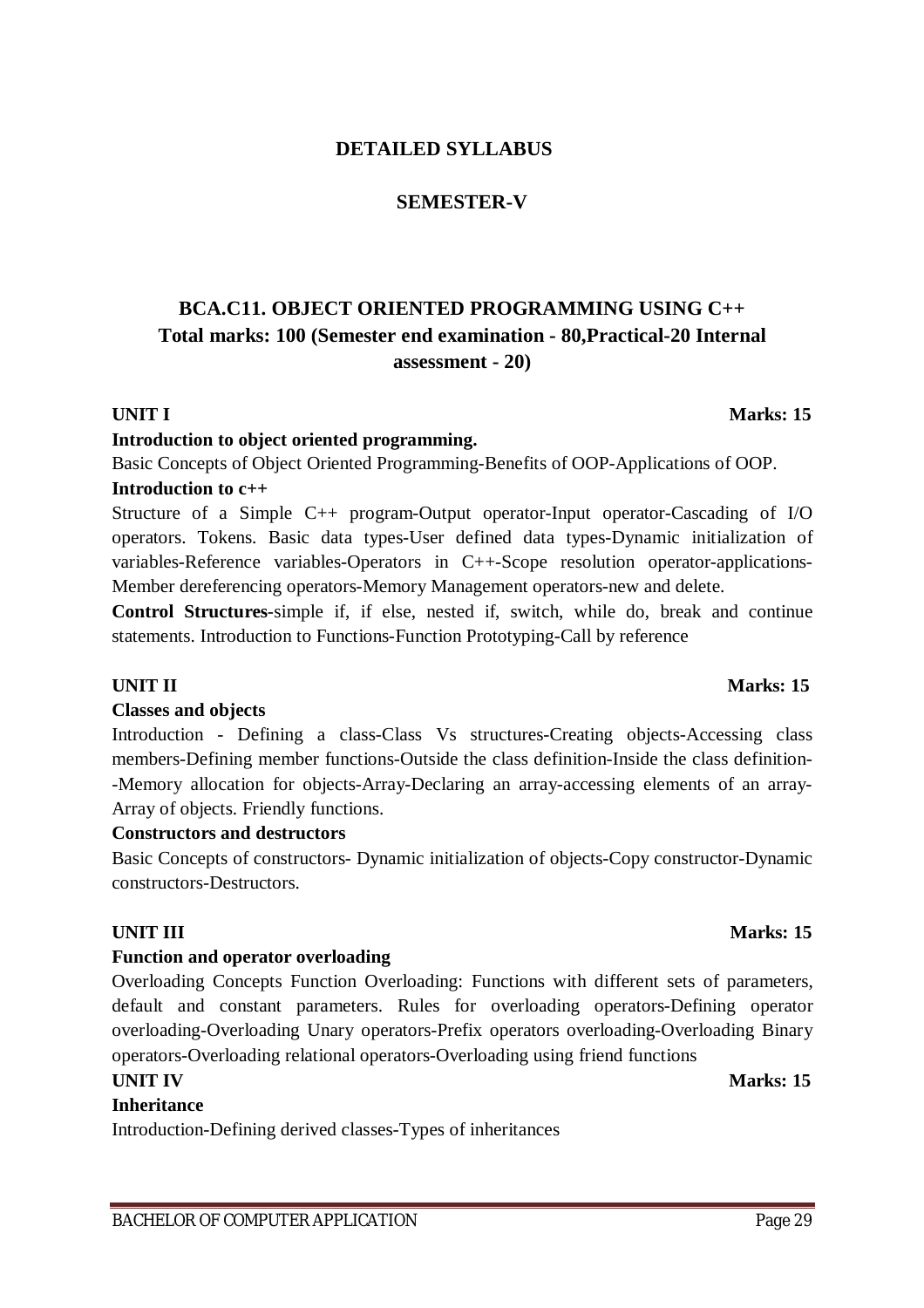## **DETAILED SYLLABUS**

## **SEMESTER-V**

## **BCA.C11. OBJECT ORIENTED PROGRAMMING USING C++ Total marks: 100 (Semester end examination - 80,Practical-20 Internal assessment - 20)**

### **UNIT I** Marks: 15

#### **Introduction to object oriented programming.**

Basic Concepts of Object Oriented Programming-Benefits of OOP-Applications of OOP.

## **Introduction to c++**

Structure of a Simple C++ program-Output operator-Input operator-Cascading of I/O operators. Tokens. Basic data types-User defined data types-Dynamic initialization of variables-Reference variables-Operators in C++-Scope resolution operator-applications-Member dereferencing operators-Memory Management operators-new and delete.

**Control Structures**-simple if, if else, nested if, switch, while do, break and continue statements. Introduction to Functions-Function Prototyping-Call by reference

#### **UNIT II** Marks: 15

### **Classes and objects**

Introduction - Defining a class-Class Vs structures-Creating objects-Accessing class members-Defining member functions-Outside the class definition-Inside the class definition- -Memory allocation for objects-Array-Declaring an array-accessing elements of an array-Array of objects. Friendly functions.

### **Constructors and destructors**

Basic Concepts of constructors- Dynamic initialization of objects-Copy constructor-Dynamic constructors-Destructors.

### **UNIT III** Marks: 15

### **Function and operator overloading**

Overloading Concepts Function Overloading: Functions with different sets of parameters, default and constant parameters. Rules for overloading operators-Defining operator overloading-Overloading Unary operators-Prefix operators overloading-Overloading Binary operators-Overloading relational operators-Overloading using friend functions

### **UNIT IV** Marks: 15

### **Inheritance**

Introduction-Defining derived classes-Types of inheritances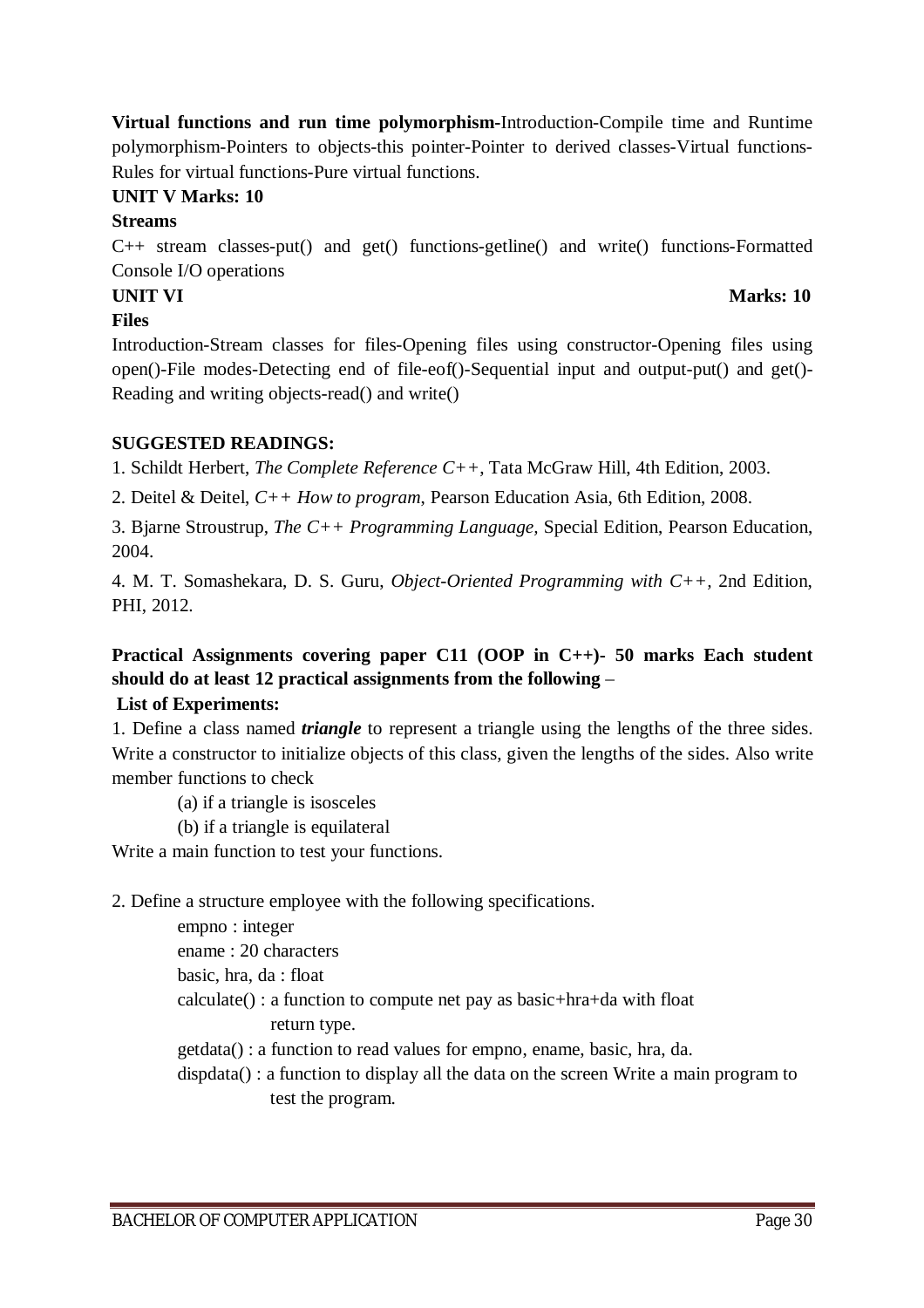**Virtual functions and run time polymorphism-**Introduction-Compile time and Runtime polymorphism-Pointers to objects-this pointer-Pointer to derived classes-Virtual functions-Rules for virtual functions-Pure virtual functions.

## **UNIT V Marks: 10**

### **Streams**

C++ stream classes-put() and get() functions-getline() and write() functions-Formatted Console I/O operations

## **UNIT VI** Marks: 10

### **Files**

Introduction-Stream classes for files-Opening files using constructor-Opening files using open()-File modes-Detecting end of file-eof()-Sequential input and output-put() and get()- Reading and writing objects-read() and write()

## **SUGGESTED READINGS:**

1. Schildt Herbert, *The Complete Reference C++*, Tata McGraw Hill, 4th Edition, 2003.

2. Deitel & Deitel, *C++ How to program*, Pearson Education Asia, 6th Edition, 2008.

3. Bjarne Stroustrup, *The C++ Programming Language,* Special Edition, Pearson Education, 2004.

4. M. T. Somashekara, D. S. Guru, *Object-Oriented Programming with C++,* 2nd Edition, PHI, 2012.

## **Practical Assignments covering paper C11 (OOP in C++)- 50 marks Each student should do at least 12 practical assignments from the following** –

## **List of Experiments:**

1. Define a class named *triangle* to represent a triangle using the lengths of the three sides. Write a constructor to initialize objects of this class, given the lengths of the sides. Also write member functions to check

(a) if a triangle is isosceles

(b) if a triangle is equilateral

Write a main function to test your functions.

## 2. Define a structure employee with the following specifications.

 empno : integer ename : 20 characters basic, hra, da : float calculate() : a function to compute net pay as basic+hra+da with float return type. getdata() : a function to read values for empno, ename, basic, hra, da.

dispdata() : a function to display all the data on the screen Write a main program to

test the program.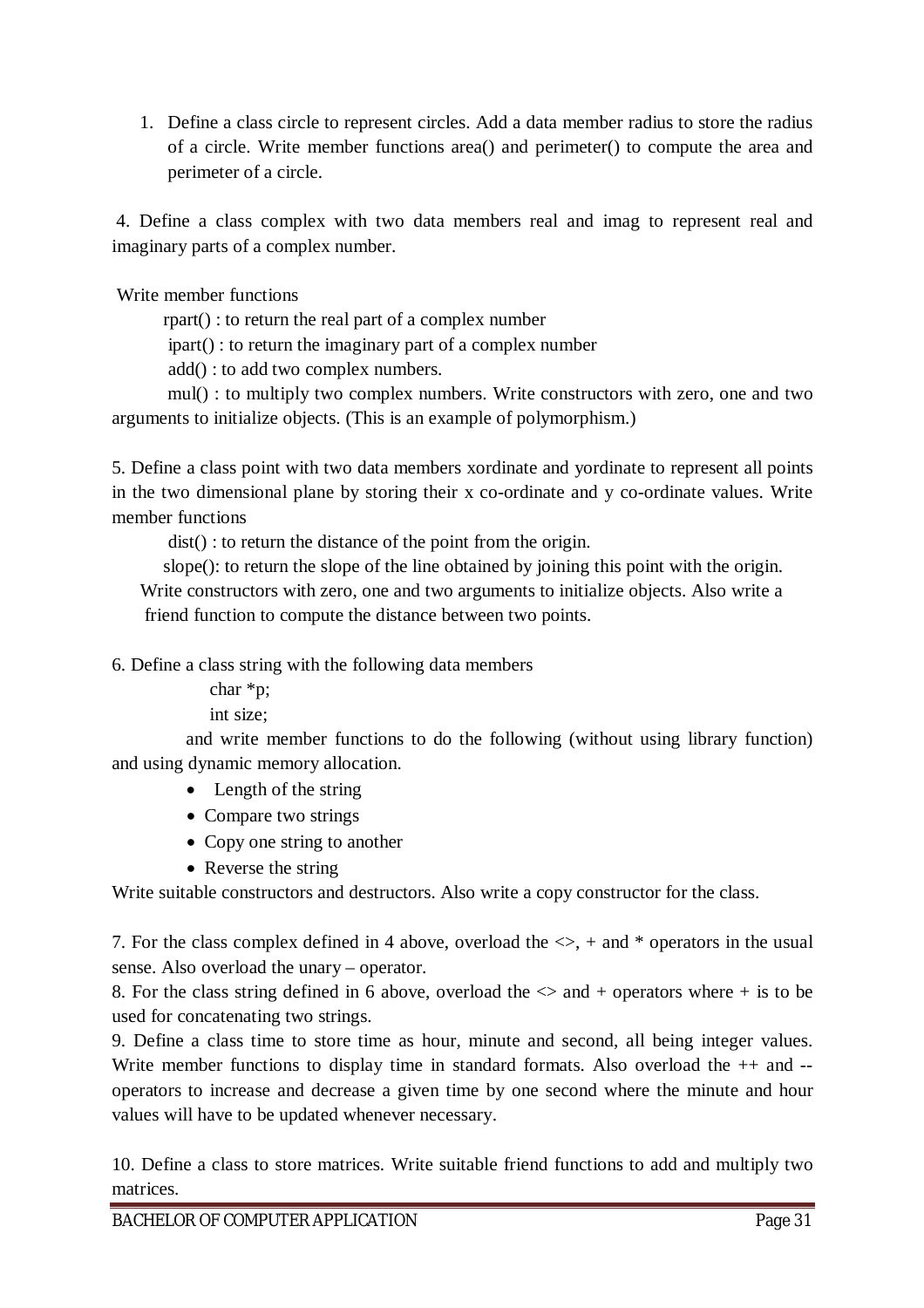1. Define a class circle to represent circles. Add a data member radius to store the radius of a circle. Write member functions area() and perimeter() to compute the area and perimeter of a circle.

4. Define a class complex with two data members real and imag to represent real and imaginary parts of a complex number.

Write member functions

rpart() : to return the real part of a complex number

ipart() : to return the imaginary part of a complex number

add() : to add two complex numbers.

 mul() : to multiply two complex numbers. Write constructors with zero, one and two arguments to initialize objects. (This is an example of polymorphism.)

5. Define a class point with two data members xordinate and yordinate to represent all points in the two dimensional plane by storing their x co-ordinate and y co-ordinate values. Write member functions

dist() : to return the distance of the point from the origin.

 slope(): to return the slope of the line obtained by joining this point with the origin. Write constructors with zero, one and two arguments to initialize objects. Also write a friend function to compute the distance between two points.

6. Define a class string with the following data members

char \*p;

int size;

 and write member functions to do the following (without using library function) and using dynamic memory allocation.

- Length of the string
- Compare two strings
- Copy one string to another
- Reverse the string

Write suitable constructors and destructors. Also write a copy constructor for the class.

7. For the class complex defined in 4 above, overload the  $\leq$ , + and \* operators in the usual sense. Also overload the unary – operator.

8. For the class string defined in 6 above, overload the  $\Diamond$  and + operators where + is to be used for concatenating two strings.

9. Define a class time to store time as hour, minute and second, all being integer values. Write member functions to display time in standard formats. Also overload the  $++$  and  $-$ operators to increase and decrease a given time by one second where the minute and hour values will have to be updated whenever necessary.

10. Define a class to store matrices. Write suitable friend functions to add and multiply two matrices.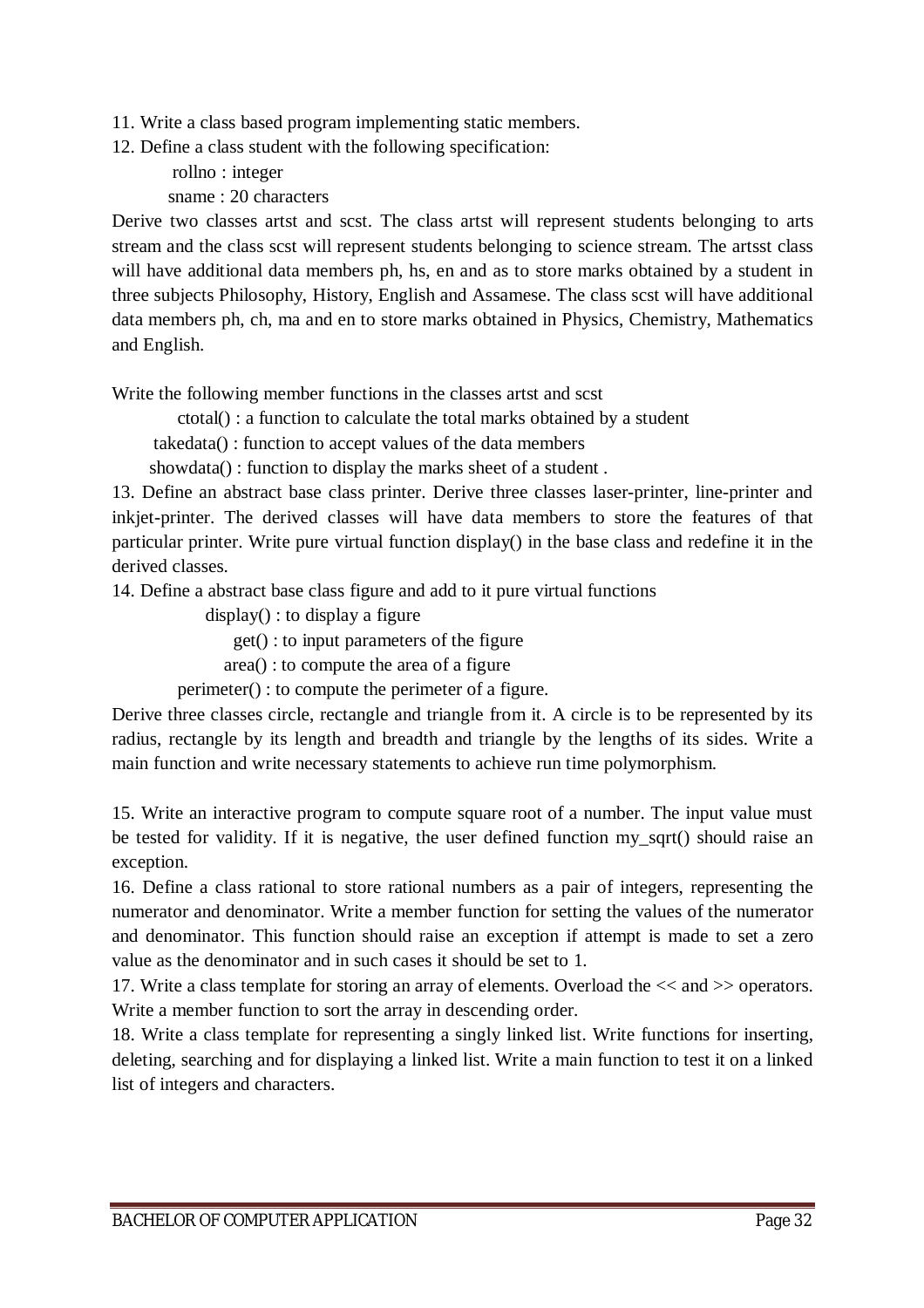11. Write a class based program implementing static members.

12. Define a class student with the following specification:

 rollno : integer sname : 20 characters

Derive two classes artst and scst. The class artst will represent students belonging to arts stream and the class scst will represent students belonging to science stream. The artsst class will have additional data members ph, hs, en and as to store marks obtained by a student in three subjects Philosophy, History, English and Assamese. The class scst will have additional data members ph, ch, ma and en to store marks obtained in Physics, Chemistry, Mathematics and English.

Write the following member functions in the classes artst and scst

ctotal() : a function to calculate the total marks obtained by a student

takedata() : function to accept values of the data members

showdata() : function to display the marks sheet of a student.

13. Define an abstract base class printer. Derive three classes laser-printer, line-printer and inkjet-printer. The derived classes will have data members to store the features of that particular printer. Write pure virtual function display() in the base class and redefine it in the derived classes.

14. Define a abstract base class figure and add to it pure virtual functions

display() : to display a figure

get() : to input parameters of the figure

area() : to compute the area of a figure

perimeter() : to compute the perimeter of a figure.

Derive three classes circle, rectangle and triangle from it. A circle is to be represented by its radius, rectangle by its length and breadth and triangle by the lengths of its sides. Write a main function and write necessary statements to achieve run time polymorphism.

15. Write an interactive program to compute square root of a number. The input value must be tested for validity. If it is negative, the user defined function my\_sqrt() should raise an exception.

16. Define a class rational to store rational numbers as a pair of integers, representing the numerator and denominator. Write a member function for setting the values of the numerator and denominator. This function should raise an exception if attempt is made to set a zero value as the denominator and in such cases it should be set to 1.

17. Write a class template for storing an array of elements. Overload the << and >> operators. Write a member function to sort the array in descending order.

18. Write a class template for representing a singly linked list. Write functions for inserting, deleting, searching and for displaying a linked list. Write a main function to test it on a linked list of integers and characters.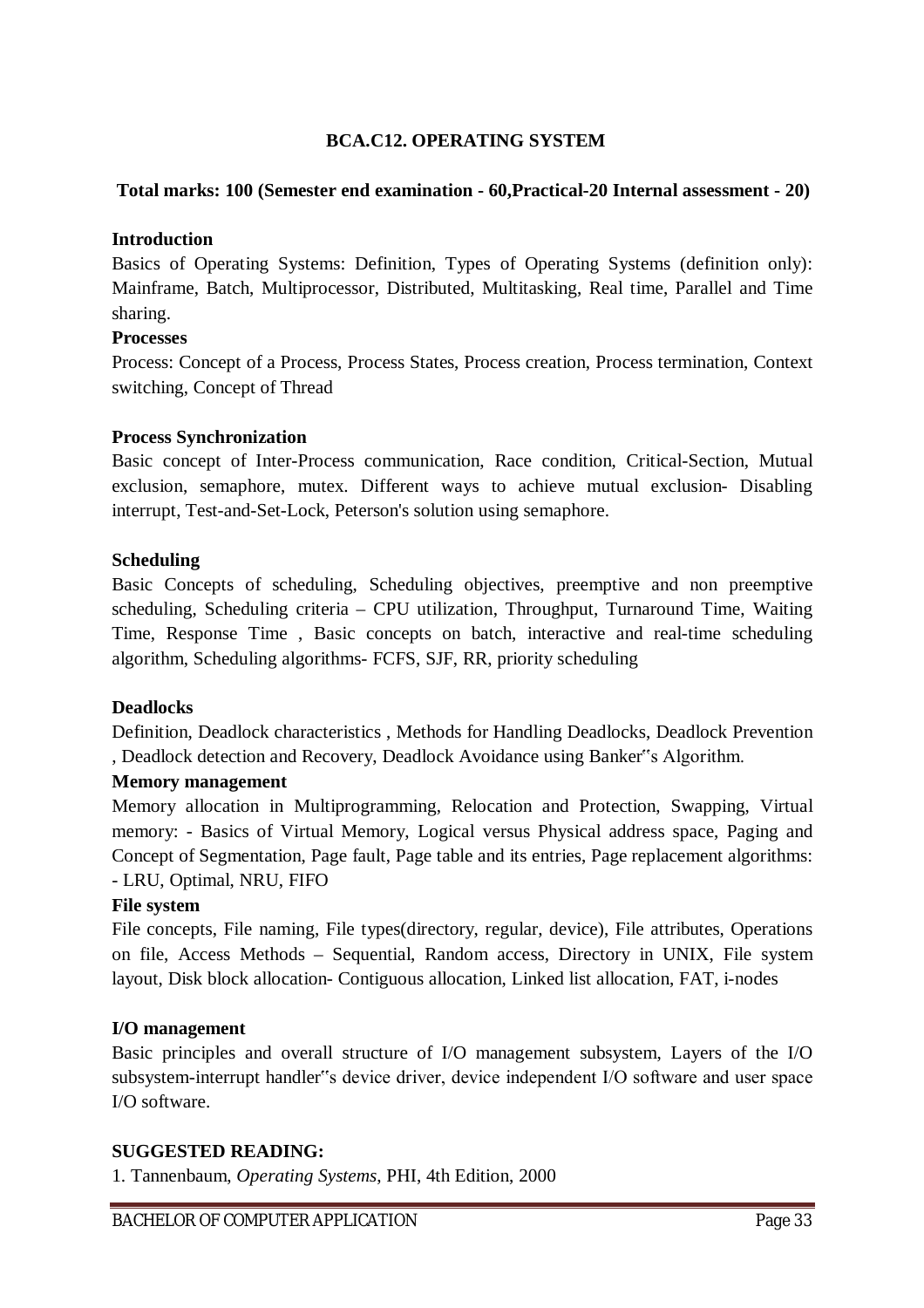### **BCA.C12. OPERATING SYSTEM**

#### **Total marks: 100 (Semester end examination - 60,Practical-20 Internal assessment - 20)**

#### **Introduction**

Basics of Operating Systems: Definition, Types of Operating Systems (definition only): Mainframe, Batch, Multiprocessor, Distributed, Multitasking, Real time, Parallel and Time sharing.

#### **Processes**

Process: Concept of a Process, Process States, Process creation, Process termination, Context switching, Concept of Thread

#### **Process Synchronization**

Basic concept of Inter-Process communication, Race condition, Critical-Section, Mutual exclusion, semaphore, mutex. Different ways to achieve mutual exclusion- Disabling interrupt, Test-and-Set-Lock, Peterson's solution using semaphore.

#### **Scheduling**

Basic Concepts of scheduling, Scheduling objectives, preemptive and non preemptive scheduling, Scheduling criteria – CPU utilization, Throughput, Turnaround Time, Waiting Time, Response Time , Basic concepts on batch, interactive and real-time scheduling algorithm, Scheduling algorithms- FCFS, SJF, RR, priority scheduling

#### **Deadlocks**

Definition, Deadlock characteristics , Methods for Handling Deadlocks, Deadlock Prevention , Deadlock detection and Recovery, Deadlock Avoidance using Banker"s Algorithm.

#### **Memory management**

Memory allocation in Multiprogramming, Relocation and Protection, Swapping, Virtual memory: - Basics of Virtual Memory, Logical versus Physical address space, Paging and Concept of Segmentation, Page fault, Page table and its entries, Page replacement algorithms: - LRU, Optimal, NRU, FIFO

#### **File system**

File concepts, File naming, File types(directory, regular, device), File attributes, Operations on file, Access Methods – Sequential, Random access, Directory in UNIX, File system layout, Disk block allocation- Contiguous allocation, Linked list allocation, FAT, i-nodes

#### **I/O management**

Basic principles and overall structure of I/O management subsystem, Layers of the I/O subsystem-interrupt handler"s device driver, device independent I/O software and user space I/O software.

#### **SUGGESTED READING:**

1. Tannenbaum, *Operating Systems*, PHI, 4th Edition, 2000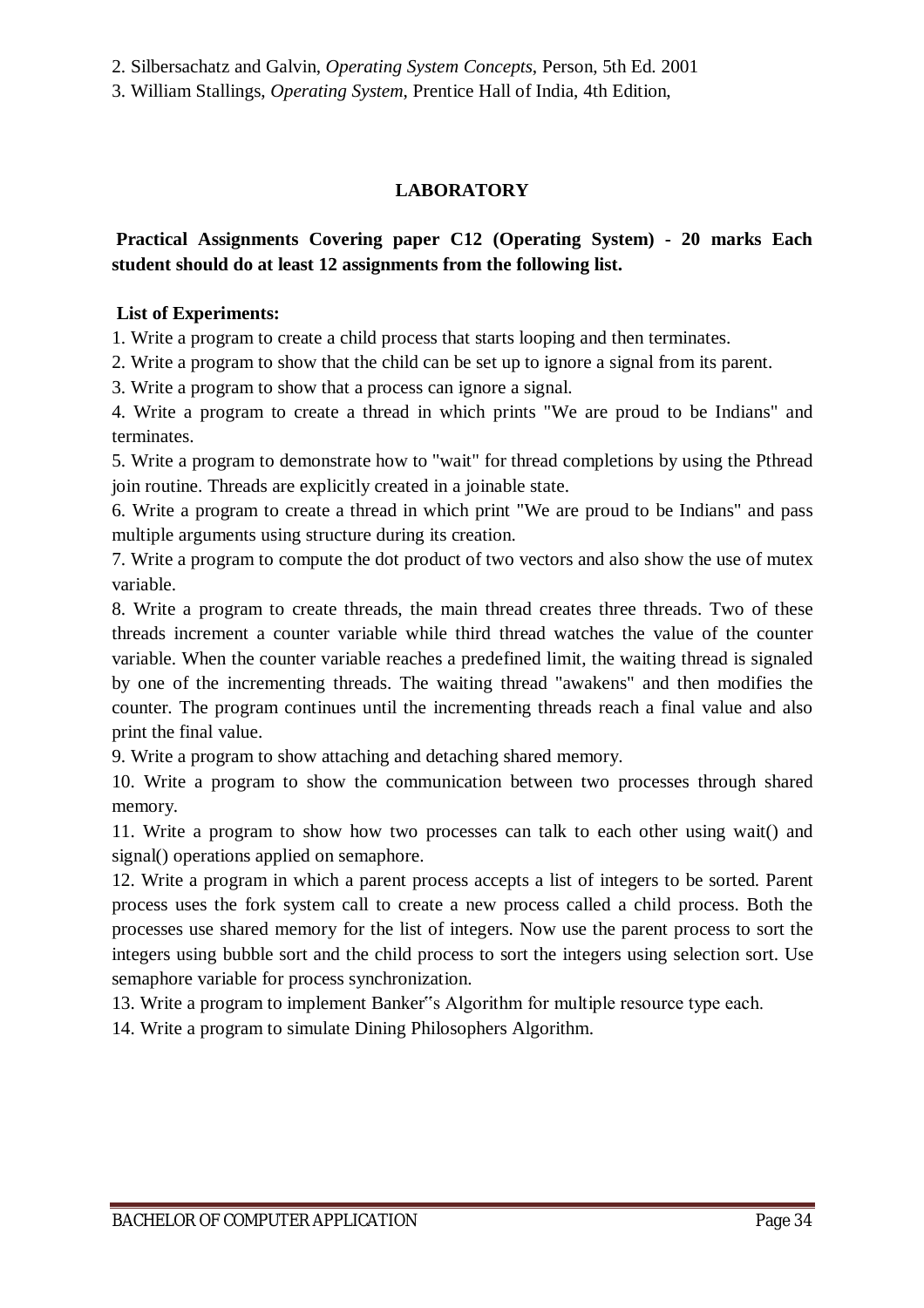2. Silbersachatz and Galvin, *Operating System Concepts*, Person, 5th Ed. 2001

3. William Stallings, *Operating System*, Prentice Hall of India, 4th Edition,

## **LABORATORY**

## **Practical Assignments Covering paper C12 (Operating System) - 20 marks Each student should do at least 12 assignments from the following list.**

#### **List of Experiments:**

1. Write a program to create a child process that starts looping and then terminates.

2. Write a program to show that the child can be set up to ignore a signal from its parent.

3. Write a program to show that a process can ignore a signal.

4. Write a program to create a thread in which prints "We are proud to be Indians" and terminates.

5. Write a program to demonstrate how to "wait" for thread completions by using the Pthread join routine. Threads are explicitly created in a joinable state.

6. Write a program to create a thread in which print "We are proud to be Indians" and pass multiple arguments using structure during its creation.

7. Write a program to compute the dot product of two vectors and also show the use of mutex variable.

8. Write a program to create threads, the main thread creates three threads. Two of these threads increment a counter variable while third thread watches the value of the counter variable. When the counter variable reaches a predefined limit, the waiting thread is signaled by one of the incrementing threads. The waiting thread "awakens" and then modifies the counter. The program continues until the incrementing threads reach a final value and also print the final value.

9. Write a program to show attaching and detaching shared memory.

10. Write a program to show the communication between two processes through shared memory.

11. Write a program to show how two processes can talk to each other using wait() and signal() operations applied on semaphore.

12. Write a program in which a parent process accepts a list of integers to be sorted. Parent process uses the fork system call to create a new process called a child process. Both the processes use shared memory for the list of integers. Now use the parent process to sort the integers using bubble sort and the child process to sort the integers using selection sort. Use semaphore variable for process synchronization.

13. Write a program to implement Banker"s Algorithm for multiple resource type each.

14. Write a program to simulate Dining Philosophers Algorithm.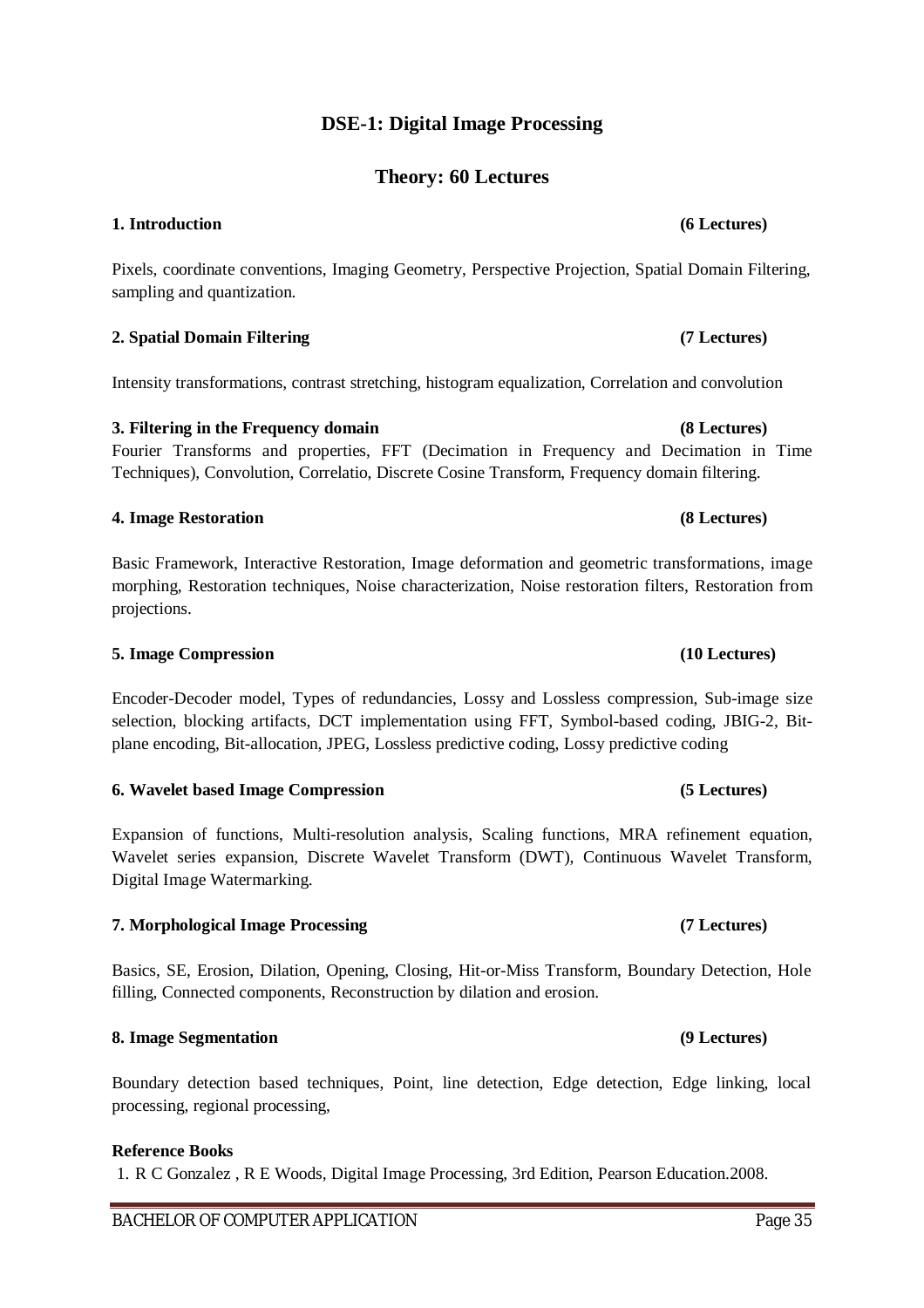## **DSE-1: Digital Image Processing**

## **Theory: 60 Lectures**

#### **1. Introduction (6 Lectures)**

Pixels, coordinate conventions, Imaging Geometry, Perspective Projection, Spatial Domain Filtering, sampling and quantization.

#### **2. Spatial Domain Filtering (7 Lectures)**

Intensity transformations, contrast stretching, histogram equalization, Correlation and convolution

#### **3. Filtering in the Frequency domain (8 Lectures)** Fourier Transforms and properties, FFT (Decimation in Frequency and Decimation in Time Techniques), Convolution, Correlatio, Discrete Cosine Transform, Frequency domain filtering.

# Basic Framework, Interactive Restoration, Image deformation and geometric transformations, image morphing, Restoration techniques, Noise characterization, Noise restoration filters, Restoration from

**4. Image Restoration (8 Lectures)**

#### **5. Image Compression (10 Lectures)**

projections.

Encoder-Decoder model, Types of redundancies, Lossy and Lossless compression, Sub-image size selection, blocking artifacts, DCT implementation using FFT, Symbol-based coding, JBIG-2, Bitplane encoding, Bit-allocation, JPEG, Lossless predictive coding, Lossy predictive coding

#### **6. Wavelet based Image Compression (5 Lectures)**

Expansion of functions, Multi-resolution analysis, Scaling functions, MRA refinement equation, Wavelet series expansion, Discrete Wavelet Transform (DWT), Continuous Wavelet Transform, Digital Image Watermarking.

#### **7. Morphological Image Processing (7 Lectures)**

Basics, SE, Erosion, Dilation, Opening, Closing, Hit-or-Miss Transform, Boundary Detection, Hole filling, Connected components, Reconstruction by dilation and erosion.

#### **8. Image Segmentation (9 Lectures)**

Boundary detection based techniques, Point, line detection, Edge detection, Edge linking, local processing, regional processing,

#### **Reference Books**

1. R C Gonzalez , R E Woods, Digital Image Processing, 3rd Edition, Pearson Education.2008.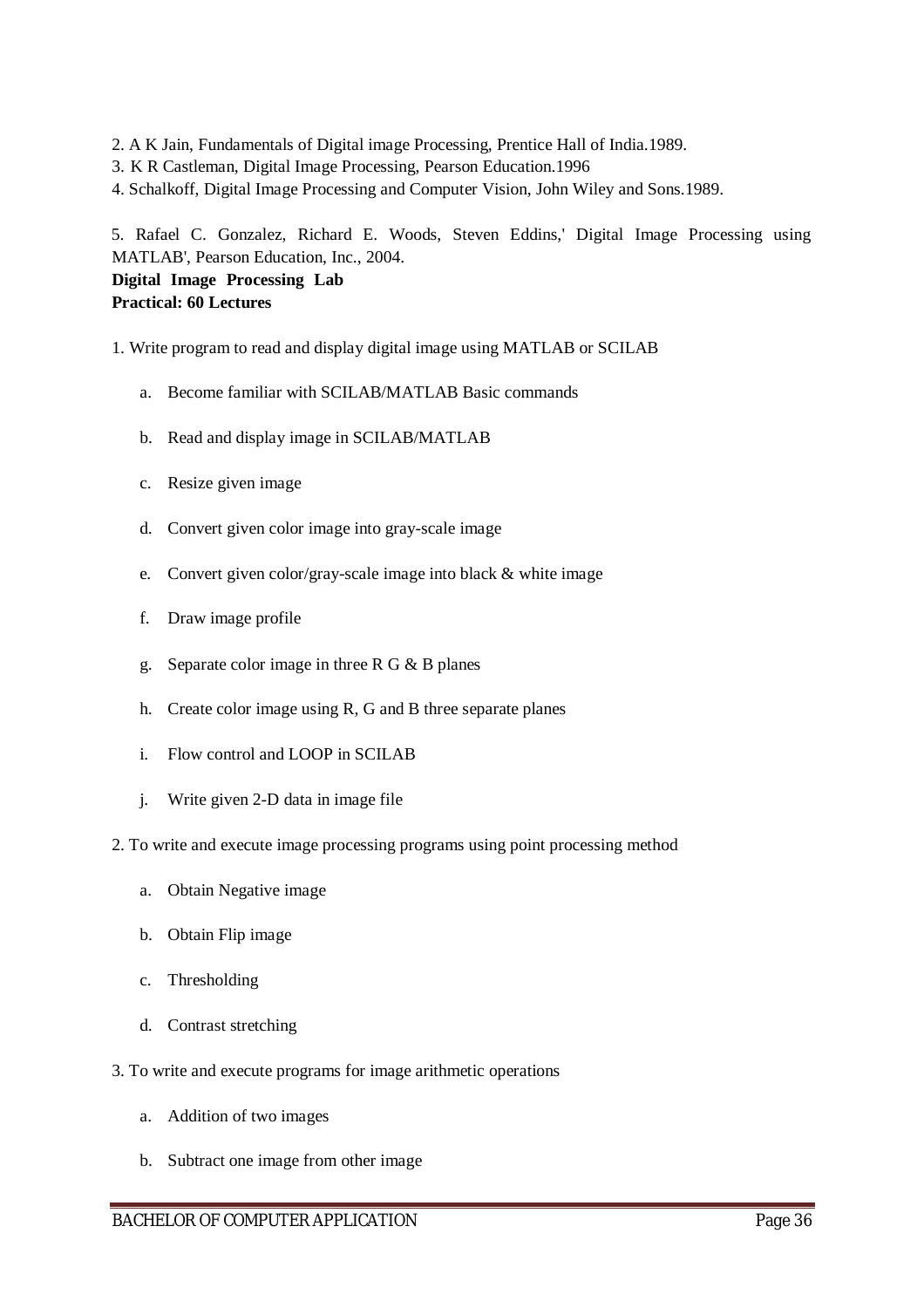- 2. A K Jain, Fundamentals of Digital image Processing, Prentice Hall of India.1989.
- 3. K R Castleman, Digital Image Processing, Pearson Education.1996
- 4. Schalkoff, Digital Image Processing and Computer Vision, John Wiley and Sons.1989.

5. Rafael C. Gonzalez, Richard E. Woods, Steven Eddins,' Digital Image Processing using MATLAB', Pearson Education, Inc., 2004. **Digital Image Processing Lab** 

#### **Practical: 60 Lectures**

- 1. Write program to read and display digital image using MATLAB or SCILAB
	- a. Become familiar with SCILAB/MATLAB Basic commands
	- b. Read and display image in SCILAB/MATLAB
	- c. Resize given image
	- d. Convert given color image into gray-scale image
	- e. Convert given color/gray-scale image into black & white image
	- f. Draw image profile
	- g. Separate color image in three R G & B planes
	- h. Create color image using R, G and B three separate planes
	- i. Flow control and LOOP in SCILAB
	- j. Write given 2-D data in image file
- 2. To write and execute image processing programs using point processing method
	- a. Obtain Negative image
	- b. Obtain Flip image
	- c. Thresholding
	- d. Contrast stretching
- 3. To write and execute programs for image arithmetic operations
	- a. Addition of two images
	- b. Subtract one image from other image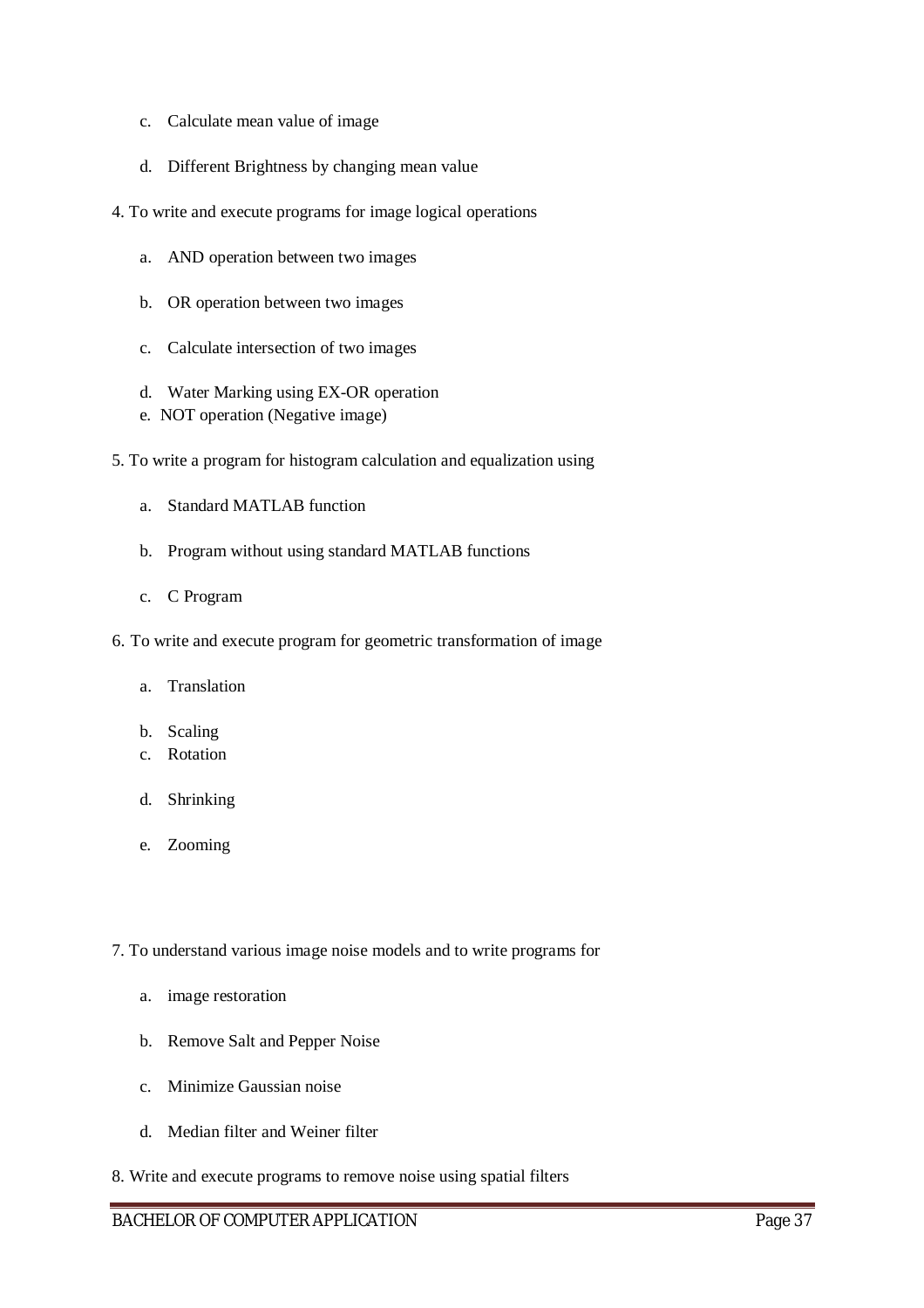- c. Calculate mean value of image
- d. Different Brightness by changing mean value
- 4. To write and execute programs for image logical operations
	- a. AND operation between two images
	- b. OR operation between two images
	- c. Calculate intersection of two images
	- d. Water Marking using EX-OR operation
	- e. NOT operation (Negative image)
- 5. To write a program for histogram calculation and equalization using
	- a. Standard MATLAB function
	- b. Program without using standard MATLAB functions
	- c. C Program
- 6. To write and execute program for geometric transformation of image
	- a. Translation
	- b. Scaling
	- c. Rotation
	- d. Shrinking
	- e. Zooming
- 7. To understand various image noise models and to write programs for
	- a. image restoration
	- b. Remove Salt and Pepper Noise
	- c. Minimize Gaussian noise
	- d. Median filter and Weiner filter
- 8. Write and execute programs to remove noise using spatial filters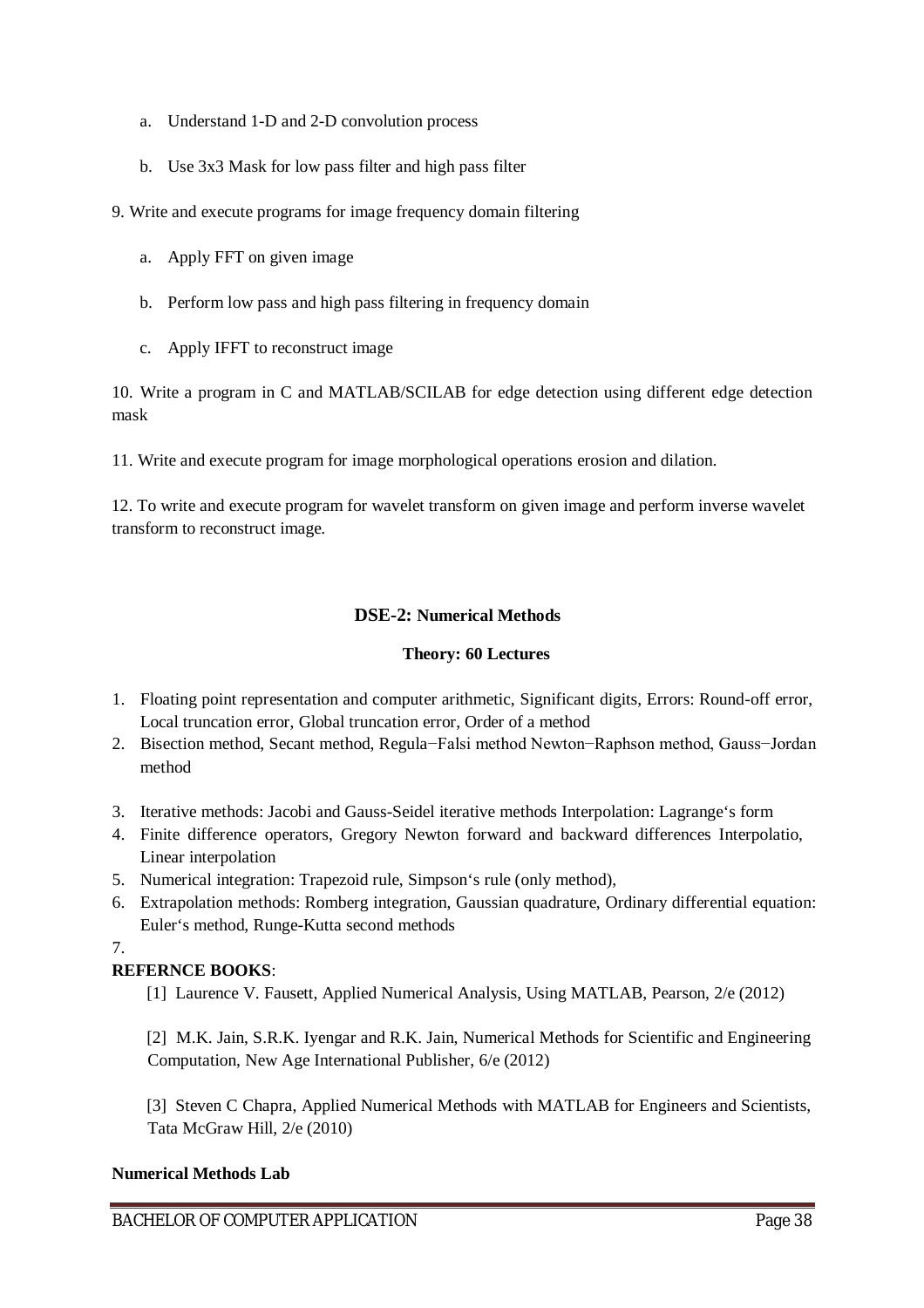- a. Understand 1-D and 2-D convolution process
- b. Use 3x3 Mask for low pass filter and high pass filter

9. Write and execute programs for image frequency domain filtering

- a. Apply FFT on given image
- b. Perform low pass and high pass filtering in frequency domain
- c. Apply IFFT to reconstruct image

10. Write a program in C and MATLAB/SCILAB for edge detection using different edge detection mask

11. Write and execute program for image morphological operations erosion and dilation.

12. To write and execute program for wavelet transform on given image and perform inverse wavelet transform to reconstruct image.

### **DSE-2: Numerical Methods**

#### **Theory: 60 Lectures**

- 1. Floating point representation and computer arithmetic, Significant digits, Errors: Round-off error, Local truncation error, Global truncation error, Order of a method
- 2. Bisection method, Secant method, Regula−Falsi method Newton−Raphson method, Gauss−Jordan method
- 3. Iterative methods: Jacobi and Gauss-Seidel iterative methods Interpolation: Lagrange's form
- 4. Finite difference operators, Gregory Newton forward and backward differences Interpolatio, Linear interpolation
- 5. Numerical integration: Trapezoid rule, Simpson's rule (only method),
- 6. Extrapolation methods: Romberg integration, Gaussian quadrature, Ordinary differential equation: Euler's method, Runge-Kutta second methods

7.

### **REFERNCE BOOKS**:

[1] Laurence V. Fausett, Applied Numerical Analysis, Using MATLAB, Pearson, 2/e (2012)

[2] M.K. Jain, S.R.K. Iyengar and R.K. Jain, Numerical Methods for Scientific and Engineering Computation, New Age International Publisher, 6/e (2012)

[3] Steven C Chapra, Applied Numerical Methods with MATLAB for Engineers and Scientists, Tata McGraw Hill, 2/e (2010)

#### **Numerical Methods Lab**